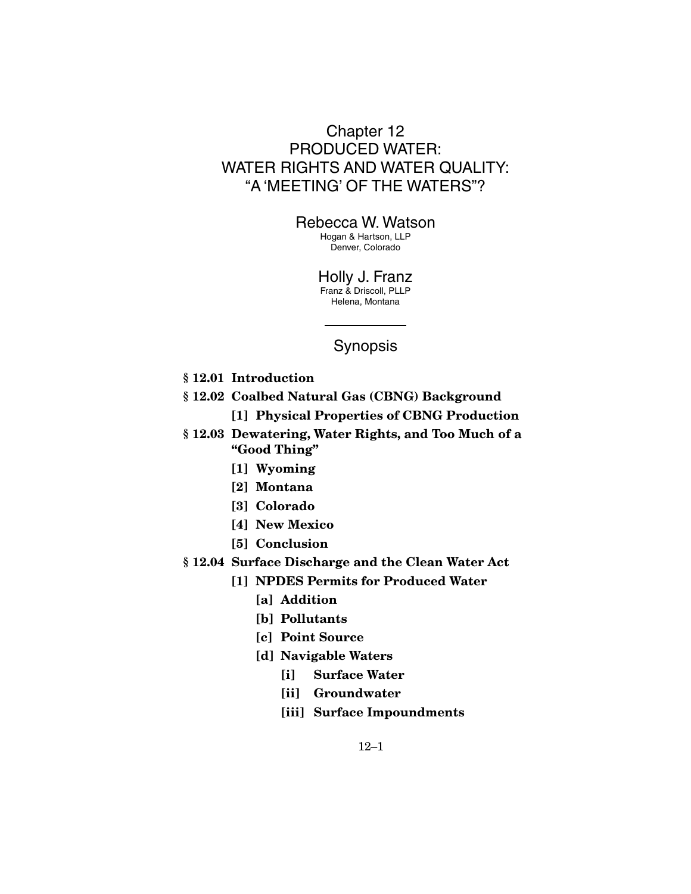# Chapter 12 PRODUCED WATER: WATER RIGHTS AND WATER QUALITY: "A 'MEETING' OF THE WATERS"?

## Rebecca W. Watson

Hogan & Hartson, LLP Denver, Colorado

Holly J. Franz Franz & Driscoll, PLLP Helena, Montana

# Synopsis

- **§ 12.01 Introduction**
- **§ 12.02 Coalbed Natural Gas (CBNG) Background** 
	- **[1] Physical Properties of CBNG Production**
- **§ 12.03 Dewatering, Water Rights, and Too Much of a "Good Thing"** 
	- **[1] Wyoming**
	- **[2] Montana**
	- **[3] Colorado**
	- **[4] New Mexico**
	- **[5] Conclusion**
- **§ 12.04 Surface Discharge and the Clean Water Act** 
	- **[1] NPDES Permits for Produced Water** 
		- **[a] Addition**
		- **[b] Pollutants**
		- **[c] Point Source**
		- **[d] Navigable Waters** 
			- **[i] Surface Water**
			- **[ii] Groundwater**
			- **[iii] Surface Impoundments**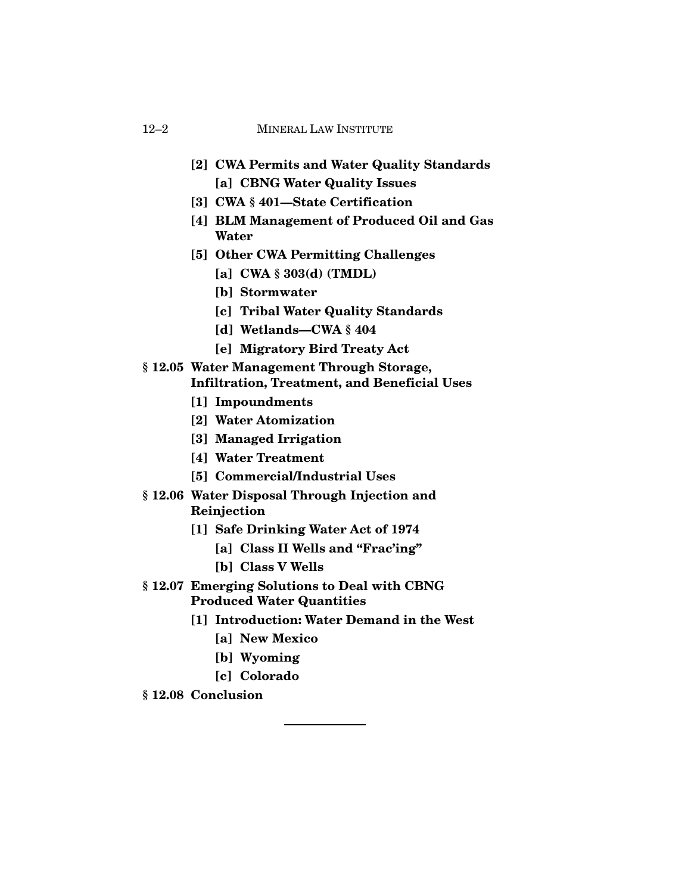- **[2] CWA Permits and Water Quality Standards [a] CBNG Water Quality Issues**
- **[3] CWA § 401—State Certification**
- **[4] BLM Management of Produced Oil and Gas Water**
- **[5] Other CWA Permitting Challenges** 
	- **[a] CWA § 303(d) (TMDL)**
	- **[b] Stormwater**
	- **[c] Tribal Water Quality Standards**
	- **[d] Wetlands—CWA § 404**
	- **[e] Migratory Bird Treaty Act**

## **§ 12.05 Water Management Through Storage, Infiltration, Treatment, and Beneficial Uses**

- **[1] Impoundments**
- **[2] Water Atomization**
- **[3] Managed Irrigation**
- **[4] Water Treatment**
- **[5] Commercial/Industrial Uses**
- **§ 12.06 Water Disposal Through Injection and Reinjection** 
	- **[1] Safe Drinking Water Act of 1974** 
		- **[a] Class II Wells and "Frac'ing"**
		- **[b] Class V Wells**
- **§ 12.07 Emerging Solutions to Deal with CBNG Produced Water Quantities** 
	- **[1] Introduction: Water Demand in the West** 
		- **[a] New Mexico**
		- **[b] Wyoming**
		- **[c] Colorado**
- **§ 12.08 Conclusion**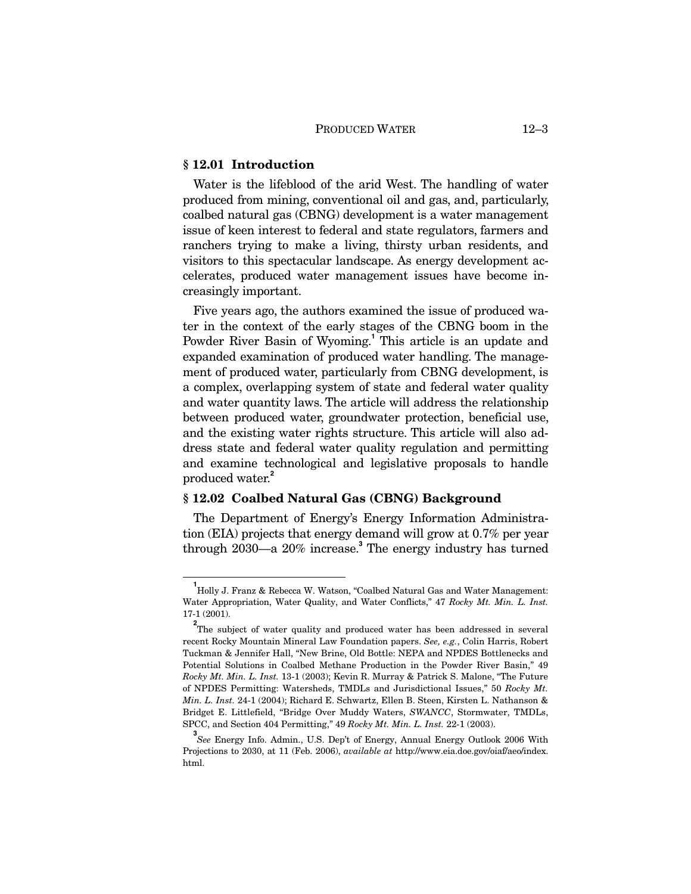### **§ 12.01 Introduction**

Water is the lifeblood of the arid West. The handling of water produced from mining, conventional oil and gas, and, particularly, coalbed natural gas (CBNG) development is a water management issue of keen interest to federal and state regulators, farmers and ranchers trying to make a living, thirsty urban residents, and visitors to this spectacular landscape. As energy development accelerates, produced water management issues have become increasingly important.

Five years ago, the authors examined the issue of produced water in the context of the early stages of the CBNG boom in the Powder River Basin of Wyoming.**<sup>1</sup>** This article is an update and expanded examination of produced water handling. The management of produced water, particularly from CBNG development, is a complex, overlapping system of state and federal water quality and water quantity laws. The article will address the relationship between produced water, groundwater protection, beneficial use, and the existing water rights structure. This article will also address state and federal water quality regulation and permitting and examine technological and legislative proposals to handle produced water.**<sup>2</sup>**

## **§ 12.02 Coalbed Natural Gas (CBNG) Background**

The Department of Energy's Energy Information Administration (EIA) projects that energy demand will grow at 0.7% per year through 2030—a 20% increase.**<sup>3</sup>** The energy industry has turned

**1** Holly J. Franz & Rebecca W. Watson, "Coalbed Natural Gas and Water Management: Water Appropriation, Water Quality, and Water Conflicts," 47 *Rocky Mt. Min. L. Inst.* 17-1 (2001).

<sup>&</sup>lt;sup>2</sup>The subject of water quality and produced water has been addressed in several recent Rocky Mountain Mineral Law Foundation papers. *See, e.g.*, Colin Harris, Robert Tuckman & Jennifer Hall, "New Brine, Old Bottle: NEPA and NPDES Bottlenecks and Potential Solutions in Coalbed Methane Production in the Powder River Basin," 49 *Rocky Mt. Min. L. Inst.* 13-1 (2003); Kevin R. Murray & Patrick S. Malone, "The Future of NPDES Permitting: Watersheds, TMDLs and Jurisdictional Issues," 50 *Rocky Mt. Min. L. Inst.* 24-1 (2004); Richard E. Schwartz, Ellen B. Steen, Kirsten L. Nathanson & Bridget E. Littlefield, "Bridge Over Muddy Waters, *SWANCC*, Stormwater, TMDLs, SPCC, and Section 404 Permitting," 49 *Rocky Mt. Min. L. Inst.* 22-1 (2003).

**<sup>3</sup>** *See* Energy Info. Admin., U.S. Dep't of Energy, Annual Energy Outlook 2006 With Projections to 2030, at 11 (Feb. 2006), *available at* http://www.eia.doe.gov/oiaf/aeo/index. html.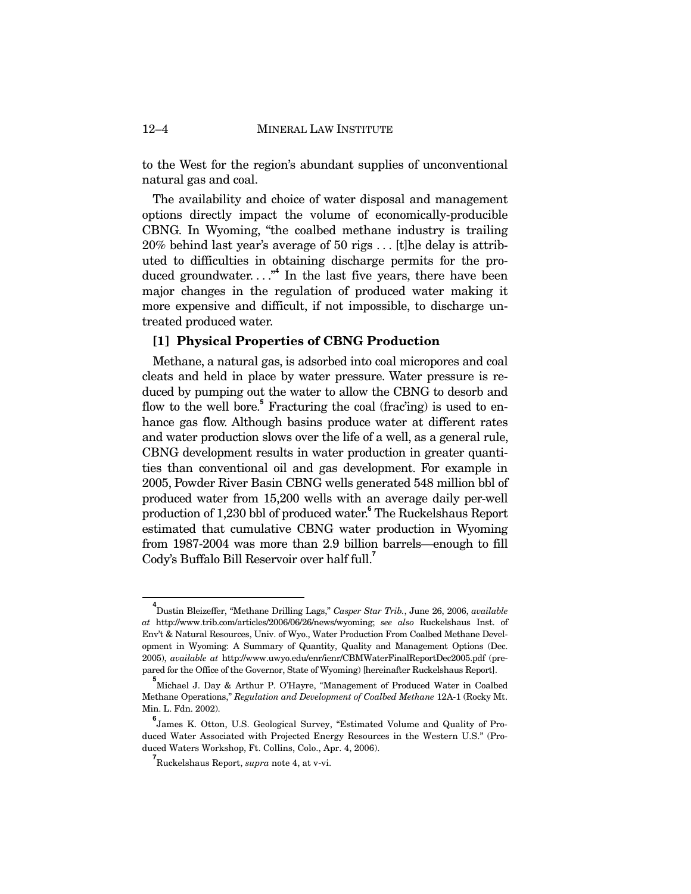to the West for the region's abundant supplies of unconventional natural gas and coal.

The availability and choice of water disposal and management options directly impact the volume of economically-producible CBNG. In Wyoming, "the coalbed methane industry is trailing 20% behind last year's average of 50 rigs . . . [t]he delay is attributed to difficulties in obtaining discharge permits for the produced groundwater. . . ."**<sup>4</sup>** In the last five years, there have been major changes in the regulation of produced water making it more expensive and difficult, if not impossible, to discharge untreated produced water.

## **[1] Physical Properties of CBNG Production**

Methane, a natural gas, is adsorbed into coal micropores and coal cleats and held in place by water pressure. Water pressure is reduced by pumping out the water to allow the CBNG to desorb and flow to the well bore.<sup>5</sup> Fracturing the coal (frac'ing) is used to enhance gas flow. Although basins produce water at different rates and water production slows over the life of a well, as a general rule, CBNG development results in water production in greater quantities than conventional oil and gas development. For example in 2005, Powder River Basin CBNG wells generated 548 million bbl of produced water from 15,200 wells with an average daily per-well production of 1,230 bbl of produced water.**<sup>6</sup>** The Ruckelshaus Report estimated that cumulative CBNG water production in Wyoming from 1987-2004 was more than 2.9 billion barrels—enough to fill Cody's Buffalo Bill Reservoir over half full.**<sup>7</sup>**

**4** Dustin Bleizeffer, "Methane Drilling Lags," *Casper Star Trib.*, June 26, 2006, *available at* http://www.trib.com/articles/2006/06/26/news/wyoming; *see also* Ruckelshaus Inst. of Env't & Natural Resources, Univ. of Wyo., Water Production From Coalbed Methane Development in Wyoming: A Summary of Quantity, Quality and Management Options (Dec. 2005), *available at* http://www.uwyo.edu/enr/ienr/CBMWaterFinalReportDec2005.pdf (prepared for the Office of the Governor, State of Wyoming) [hereinafter Ruckelshaus Report].

**<sup>5</sup>** Michael J. Day & Arthur P. O'Hayre, "Management of Produced Water in Coalbed Methane Operations," *Regulation and Development of Coalbed Methane* 12A-1 (Rocky Mt. Min. L. Fdn. 2002).

**<sup>6</sup>** James K. Otton, U.S. Geological Survey, "Estimated Volume and Quality of Produced Water Associated with Projected Energy Resources in the Western U.S." (Produced Waters Workshop, Ft. Collins, Colo., Apr. 4, 2006).

**<sup>7</sup>** Ruckelshaus Report, *supra* note 4, at v-vi.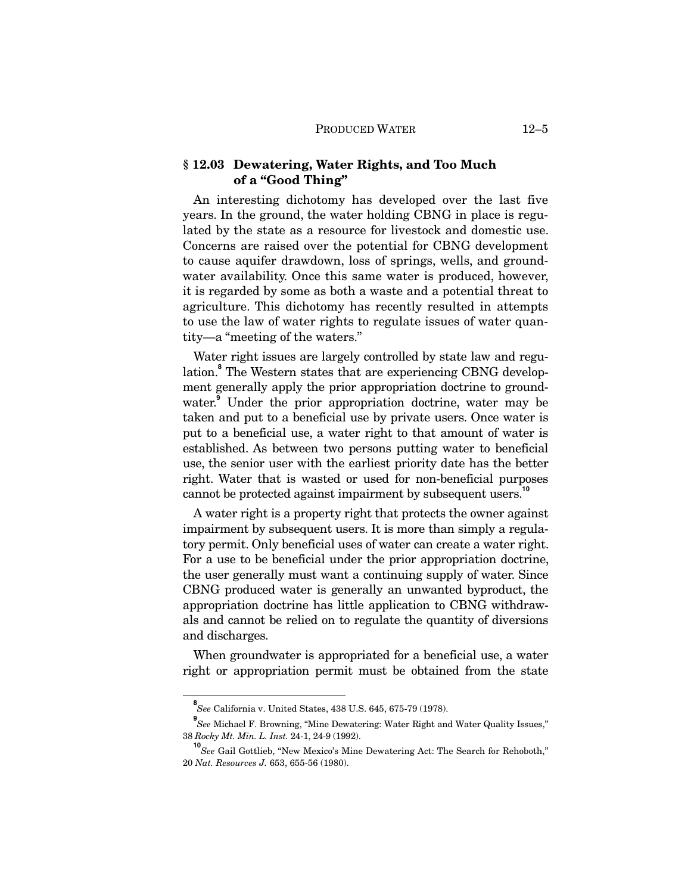## **§ 12.03 Dewatering, Water Rights, and Too Much of a "Good Thing"**

An interesting dichotomy has developed over the last five years. In the ground, the water holding CBNG in place is regulated by the state as a resource for livestock and domestic use. Concerns are raised over the potential for CBNG development to cause aquifer drawdown, loss of springs, wells, and groundwater availability. Once this same water is produced, however, it is regarded by some as both a waste and a potential threat to agriculture. This dichotomy has recently resulted in attempts to use the law of water rights to regulate issues of water quantity—a "meeting of the waters."

Water right issues are largely controlled by state law and regulation.**<sup>8</sup>** The Western states that are experiencing CBNG development generally apply the prior appropriation doctrine to groundwater.**<sup>9</sup>** Under the prior appropriation doctrine, water may be taken and put to a beneficial use by private users. Once water is put to a beneficial use, a water right to that amount of water is established. As between two persons putting water to beneficial use, the senior user with the earliest priority date has the better right. Water that is wasted or used for non-beneficial purposes cannot be protected against impairment by subsequent users.**<sup>10</sup>**

A water right is a property right that protects the owner against impairment by subsequent users. It is more than simply a regulatory permit. Only beneficial uses of water can create a water right. For a use to be beneficial under the prior appropriation doctrine, the user generally must want a continuing supply of water. Since CBNG produced water is generally an unwanted byproduct, the appropriation doctrine has little application to CBNG withdrawals and cannot be relied on to regulate the quantity of diversions and discharges.

When groundwater is appropriated for a beneficial use, a water right or appropriation permit must be obtained from the state

**8** *See* California v. United States, 438 U.S. 645, 675-79 (1978).

**<sup>9</sup>** *See* Michael F. Browning, "Mine Dewatering: Water Right and Water Quality Issues," 38 *Rocky Mt. Min. L. Inst.* 24-1, 24-9 (1992).

**<sup>10</sup>** *See* Gail Gottlieb, "New Mexico's Mine Dewatering Act: The Search for Rehoboth," 20 *Nat. Resources J.* 653, 655-56 (1980).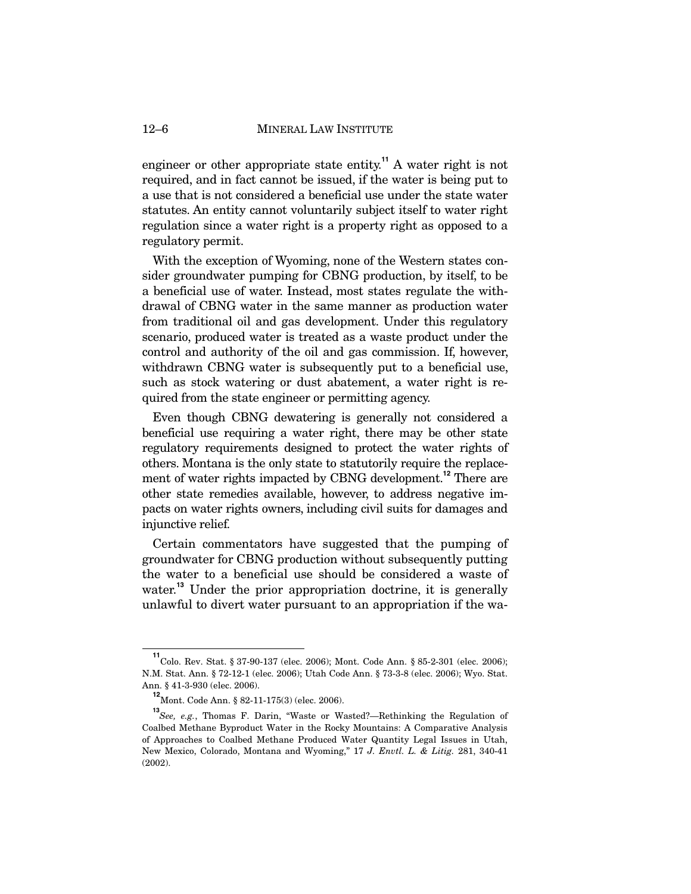engineer or other appropriate state entity.**<sup>11</sup>** A water right is not required, and in fact cannot be issued, if the water is being put to a use that is not considered a beneficial use under the state water statutes. An entity cannot voluntarily subject itself to water right regulation since a water right is a property right as opposed to a regulatory permit.

With the exception of Wyoming, none of the Western states consider groundwater pumping for CBNG production, by itself, to be a beneficial use of water. Instead, most states regulate the withdrawal of CBNG water in the same manner as production water from traditional oil and gas development. Under this regulatory scenario, produced water is treated as a waste product under the control and authority of the oil and gas commission. If, however, withdrawn CBNG water is subsequently put to a beneficial use, such as stock watering or dust abatement, a water right is required from the state engineer or permitting agency.

Even though CBNG dewatering is generally not considered a beneficial use requiring a water right, there may be other state regulatory requirements designed to protect the water rights of others. Montana is the only state to statutorily require the replacement of water rights impacted by CBNG development.**<sup>12</sup>** There are other state remedies available, however, to address negative impacts on water rights owners, including civil suits for damages and injunctive relief.

Certain commentators have suggested that the pumping of groundwater for CBNG production without subsequently putting the water to a beneficial use should be considered a waste of water.<sup>13</sup> Under the prior appropriation doctrine, it is generally unlawful to divert water pursuant to an appropriation if the wa-

**<sup>11</sup>** Colo. Rev. Stat. § 37-90-137 (elec. 2006); Mont. Code Ann. § 85-2-301 (elec. 2006); N.M. Stat. Ann. § 72-12-1 (elec. 2006); Utah Code Ann. § 73-3-8 (elec. 2006); Wyo. Stat. Ann. § 41-3-930 (elec. 2006).

**<sup>12</sup>** Mont. Code Ann. § 82-11-175(3) (elec. 2006).

**<sup>13</sup>***See, e.g.*, Thomas F. Darin, "Waste or Wasted?—Rethinking the Regulation of Coalbed Methane Byproduct Water in the Rocky Mountains: A Comparative Analysis of Approaches to Coalbed Methane Produced Water Quantity Legal Issues in Utah, New Mexico, Colorado, Montana and Wyoming," 17 *J. Envtl. L. & Litig.* 281, 340-41 (2002).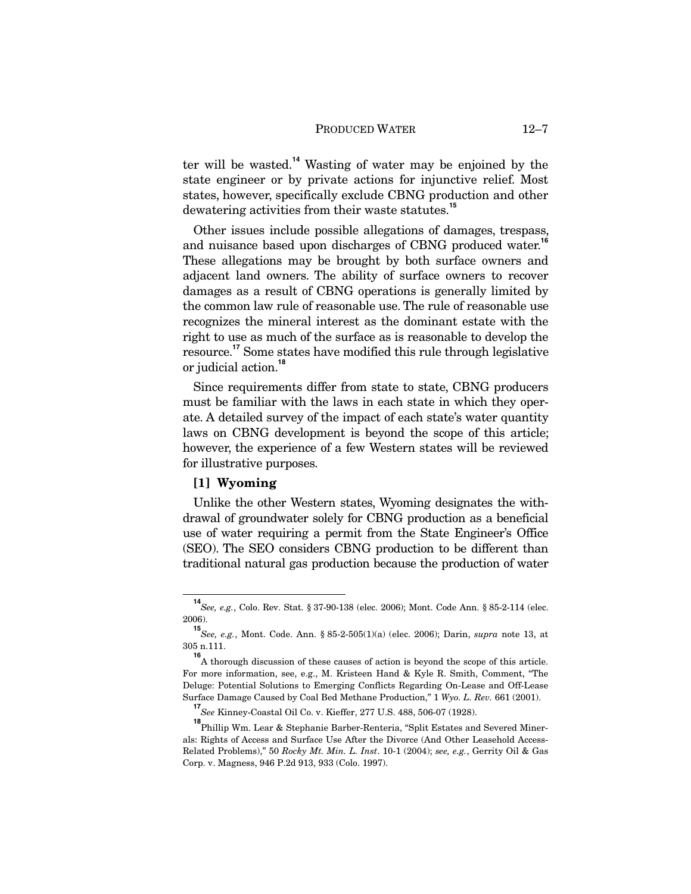ter will be wasted.**<sup>14</sup>** Wasting of water may be enjoined by the state engineer or by private actions for injunctive relief. Most states, however, specifically exclude CBNG production and other dewatering activities from their waste statutes.**<sup>15</sup>**

Other issues include possible allegations of damages, trespass, and nuisance based upon discharges of CBNG produced water.<sup>16</sup> These allegations may be brought by both surface owners and adjacent land owners. The ability of surface owners to recover damages as a result of CBNG operations is generally limited by the common law rule of reasonable use. The rule of reasonable use recognizes the mineral interest as the dominant estate with the right to use as much of the surface as is reasonable to develop the resource.**<sup>17</sup>** Some states have modified this rule through legislative or judicial action.**<sup>18</sup>**

Since requirements differ from state to state, CBNG producers must be familiar with the laws in each state in which they operate. A detailed survey of the impact of each state's water quantity laws on CBNG development is beyond the scope of this article; however, the experience of a few Western states will be reviewed for illustrative purposes.

## **[1] Wyoming**

Unlike the other Western states, Wyoming designates the withdrawal of groundwater solely for CBNG production as a beneficial use of water requiring a permit from the State Engineer's Office (SEO). The SEO considers CBNG production to be different than traditional natural gas production because the production of water

**<sup>14</sup>***See, e.g.*, Colo. Rev. Stat. § 37-90-138 (elec. 2006); Mont. Code Ann. § 85-2-114 (elec. 2006).

**<sup>15</sup>** *See, e.g.*, Mont. Code. Ann. § 85-2-505(1)(a) (elec. 2006); Darin, *supra* note 13, at 305 n.111.

**<sup>16</sup>** A thorough discussion of these causes of action is beyond the scope of this article. For more information, see, e.g., M. Kristeen Hand & Kyle R. Smith, Comment, "The Deluge: Potential Solutions to Emerging Conflicts Regarding On-Lease and Off-Lease Surface Damage Caused by Coal Bed Methane Production," 1 *Wyo. L. Rev.* 661 (2001).

**<sup>17</sup>** *See* Kinney-Coastal Oil Co. v. Kieffer, 277 U.S. 488, 506-07 (1928).

**<sup>18</sup>** Phillip Wm. Lear & Stephanie Barber-Renteria, "Split Estates and Severed Minerals: Rights of Access and Surface Use After the Divorce (And Other Leasehold Access-Related Problems)," 50 *Rocky Mt. Min. L. Inst*. 10-1 (2004); *see, e.g.*, Gerrity Oil & Gas Corp. v. Magness, 946 P.2d 913, 933 (Colo. 1997).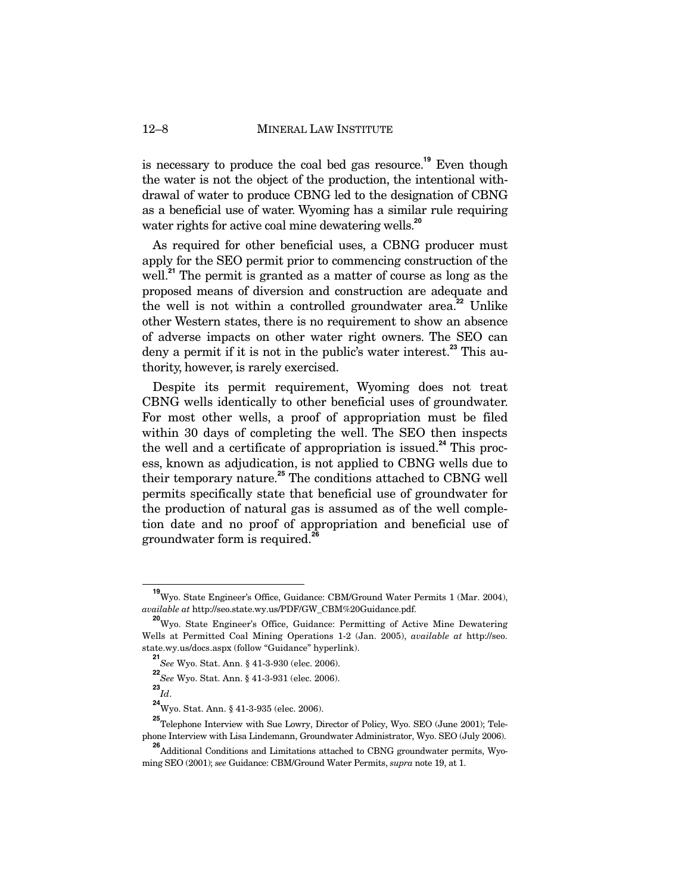is necessary to produce the coal bed gas resource.**<sup>19</sup>** Even though the water is not the object of the production, the intentional withdrawal of water to produce CBNG led to the designation of CBNG as a beneficial use of water. Wyoming has a similar rule requiring water rights for active coal mine dewatering wells.<sup>20</sup>

As required for other beneficial uses, a CBNG producer must apply for the SEO permit prior to commencing construction of the well.<sup>21</sup> The permit is granted as a matter of course as long as the proposed means of diversion and construction are adequate and the well is not within a controlled groundwater area.**<sup>22</sup>** Unlike other Western states, there is no requirement to show an absence of adverse impacts on other water right owners. The SEO can deny a permit if it is not in the public's water interest.**<sup>23</sup>** This authority, however, is rarely exercised.

Despite its permit requirement, Wyoming does not treat CBNG wells identically to other beneficial uses of groundwater. For most other wells, a proof of appropriation must be filed within 30 days of completing the well. The SEO then inspects the well and a certificate of appropriation is issued.**<sup>24</sup>** This process, known as adjudication, is not applied to CBNG wells due to their temporary nature.**<sup>25</sup>** The conditions attached to CBNG well permits specifically state that beneficial use of groundwater for the production of natural gas is assumed as of the well completion date and no proof of appropriation and beneficial use of groundwater form is required.**<sup>26</sup>**

**<sup>19</sup>** Wyo. State Engineer's Office, Guidance: CBM/Ground Water Permits 1 (Mar. 2004), *available at* http://seo.state.wy.us/PDF/GW\_CBM%20Guidance.pdf.

**<sup>20</sup>** Wyo. State Engineer's Office, Guidance: Permitting of Active Mine Dewatering Wells at Permitted Coal Mining Operations 1-2 (Jan. 2005), *available at* http://seo. state.wy.us/docs.aspx (follow "Guidance" hyperlink).

**<sup>21</sup>** *See* Wyo. Stat. Ann. § 41-3-930 (elec. 2006).

**<sup>22</sup>** *See* Wyo. Stat. Ann. § 41-3-931 (elec. 2006).

**<sup>23</sup>** *Id*.

**<sup>24</sup>** Wyo. Stat. Ann. § 41-3-935 (elec. 2006).

**<sup>25</sup>** Telephone Interview with Sue Lowry, Director of Policy, Wyo. SEO (June 2001); Telephone Interview with Lisa Lindemann, Groundwater Administrator, Wyo. SEO (July 2006).

**<sup>26</sup>** Additional Conditions and Limitations attached to CBNG groundwater permits, Wyoming SEO (2001); *see* Guidance: CBM/Ground Water Permits, *supra* note 19, at 1.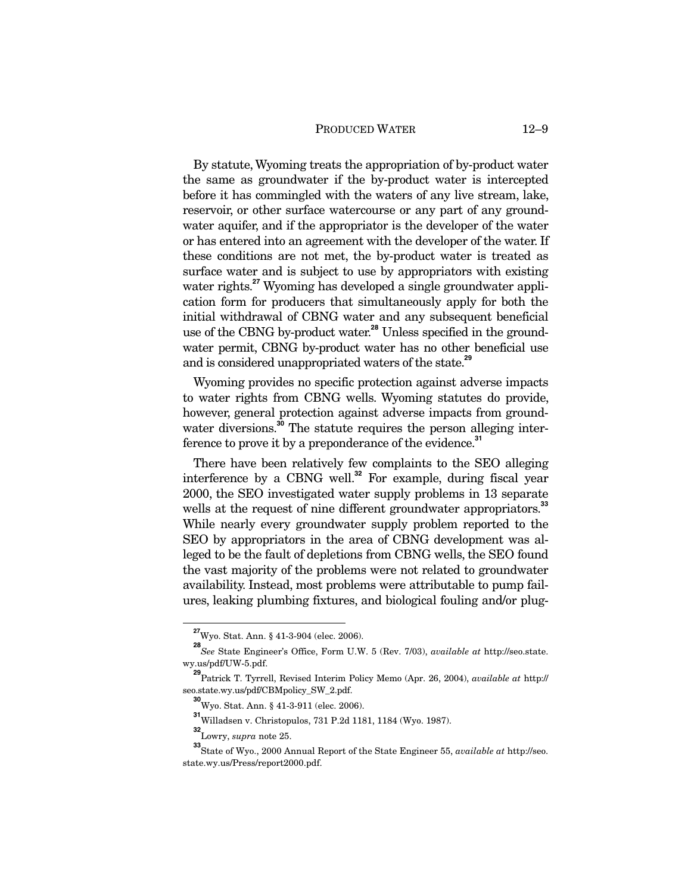By statute, Wyoming treats the appropriation of by-product water the same as groundwater if the by-product water is intercepted before it has commingled with the waters of any live stream, lake, reservoir, or other surface watercourse or any part of any groundwater aquifer, and if the appropriator is the developer of the water or has entered into an agreement with the developer of the water. If these conditions are not met, the by-product water is treated as surface water and is subject to use by appropriators with existing water rights.<sup>27</sup> Wyoming has developed a single groundwater application form for producers that simultaneously apply for both the initial withdrawal of CBNG water and any subsequent beneficial use of the CBNG by-product water.**<sup>28</sup>** Unless specified in the groundwater permit, CBNG by-product water has no other beneficial use and is considered unappropriated waters of the state.**<sup>29</sup>**

Wyoming provides no specific protection against adverse impacts to water rights from CBNG wells. Wyoming statutes do provide, however, general protection against adverse impacts from groundwater diversions.<sup>30</sup> The statute requires the person alleging interference to prove it by a preponderance of the evidence.**<sup>31</sup>**

There have been relatively few complaints to the SEO alleging interference by a CBNG well.**<sup>32</sup>** For example, during fiscal year 2000, the SEO investigated water supply problems in 13 separate wells at the request of nine different groundwater appropriators.<sup>33</sup> While nearly every groundwater supply problem reported to the SEO by appropriators in the area of CBNG development was alleged to be the fault of depletions from CBNG wells, the SEO found the vast majority of the problems were not related to groundwater availability. Instead, most problems were attributable to pump failures, leaking plumbing fixtures, and biological fouling and/or plug-

**<sup>27</sup>**Wyo. Stat. Ann. § 41-3-904 (elec. 2006).

**<sup>28</sup>** *See* State Engineer's Office, Form U.W. 5 (Rev. 7/03), *available at* http://seo.state. wy.us/pdf/UW-5.pdf.

**<sup>29</sup>** Patrick T. Tyrrell, Revised Interim Policy Memo (Apr. 26, 2004), *available at* http:// seo.state.wy.us/pdf/CBMpolicy\_SW\_2.pdf.

**<sup>30</sup>** Wyo. Stat. Ann. § 41-3-911 (elec. 2006).

**<sup>31</sup>** Willadsen v. Christopulos, 731 P.2d 1181, 1184 (Wyo. 1987).

**<sup>32</sup>** Lowry, *supra* note 25.

**<sup>33</sup>** State of Wyo., 2000 Annual Report of the State Engineer 55, *available at* http://seo. state.wy.us/Press/report2000.pdf.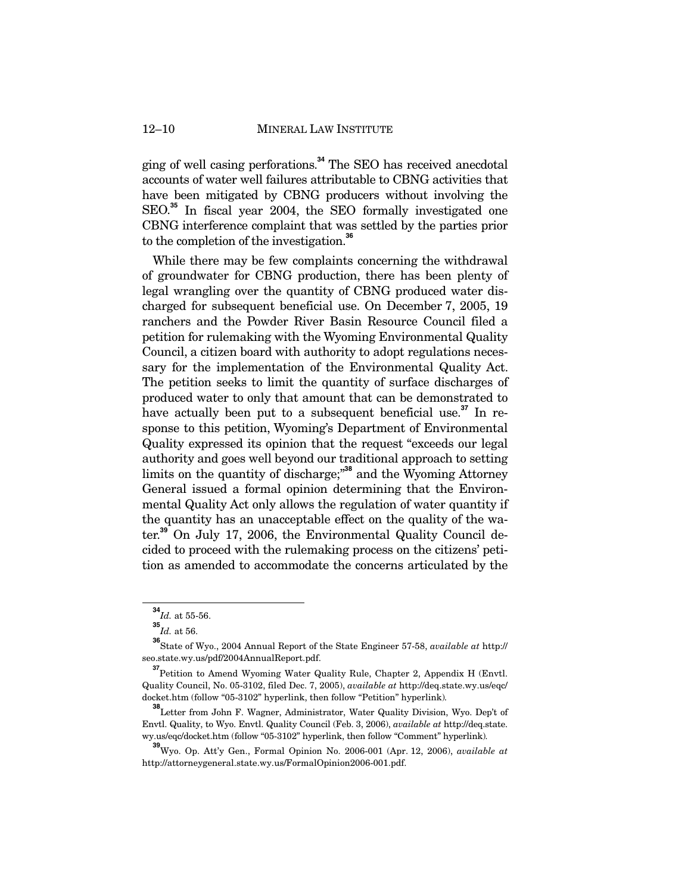ging of well casing perforations.**<sup>34</sup>** The SEO has received anecdotal accounts of water well failures attributable to CBNG activities that have been mitigated by CBNG producers without involving the SEO.**<sup>35</sup>** In fiscal year 2004, the SEO formally investigated one CBNG interference complaint that was settled by the parties prior to the completion of the investigation.**<sup>36</sup>**

While there may be few complaints concerning the withdrawal of groundwater for CBNG production, there has been plenty of legal wrangling over the quantity of CBNG produced water discharged for subsequent beneficial use. On December 7, 2005, 19 ranchers and the Powder River Basin Resource Council filed a petition for rulemaking with the Wyoming Environmental Quality Council, a citizen board with authority to adopt regulations necessary for the implementation of the Environmental Quality Act. The petition seeks to limit the quantity of surface discharges of produced water to only that amount that can be demonstrated to have actually been put to a subsequent beneficial use.**<sup>37</sup>** In response to this petition, Wyoming's Department of Environmental Quality expressed its opinion that the request "exceeds our legal authority and goes well beyond our traditional approach to setting limits on the quantity of discharge;"**<sup>38</sup>** and the Wyoming Attorney General issued a formal opinion determining that the Environmental Quality Act only allows the regulation of water quantity if the quantity has an unacceptable effect on the quality of the water.**<sup>39</sup>** On July 17, 2006, the Environmental Quality Council decided to proceed with the rulemaking process on the citizens' petition as amended to accommodate the concerns articulated by the

 $\frac{34}{1}$ *d.* at 55-56.

**<sup>35</sup>** *Id.* at 56.

**<sup>36</sup>** State of Wyo., 2004 Annual Report of the State Engineer 57-58, *available at* http:// seo.state.wy.us/pdf/2004AnnualReport.pdf.

**<sup>37</sup>**Petition to Amend Wyoming Water Quality Rule, Chapter 2, Appendix H (Envtl. Quality Council, No. 05-3102, filed Dec. 7, 2005), *available at* http://deq.state.wy.us/eqc/ docket.htm (follow "05-3102" hyperlink, then follow "Petition" hyperlink)*.* 

**<sup>38</sup>** Letter from John F. Wagner, Administrator, Water Quality Division, Wyo. Dep't of Envtl. Quality, to Wyo. Envtl. Quality Council (Feb. 3, 2006), *available at* http://deq.state. wy.us/eqc/docket.htm (follow "05-3102" hyperlink, then follow "Comment" hyperlink)*.*

**<sup>39</sup>** Wyo. Op. Att'y Gen., Formal Opinion No. 2006-001 (Apr. 12, 2006), *available at* http://attorneygeneral.state.wy.us/FormalOpinion2006-001.pdf.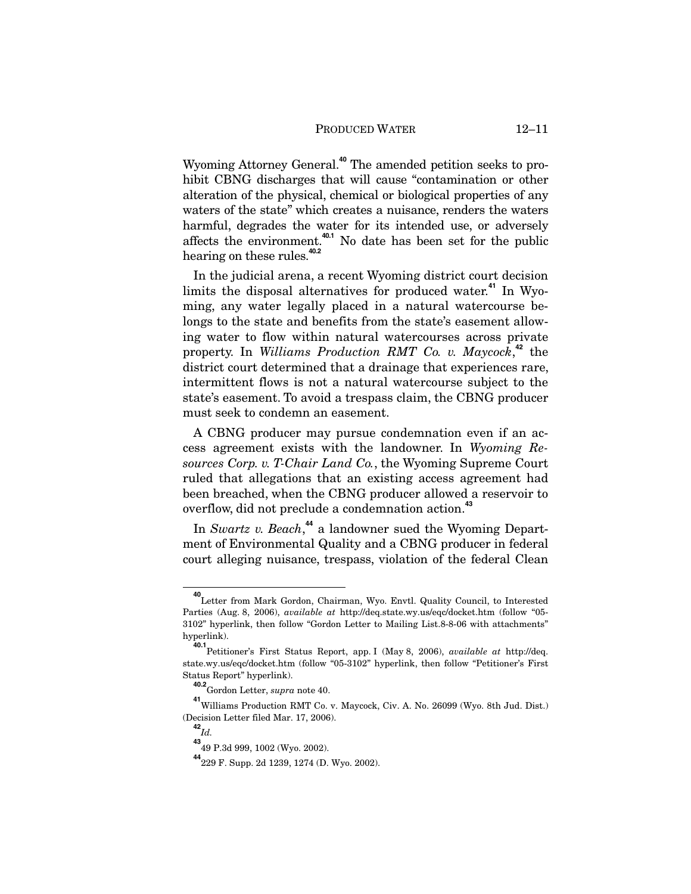Wyoming Attorney General.**<sup>40</sup>** The amended petition seeks to prohibit CBNG discharges that will cause "contamination or other alteration of the physical, chemical or biological properties of any waters of the state" which creates a nuisance, renders the waters harmful, degrades the water for its intended use, or adversely affects the environment.**40.1** No date has been set for the public hearing on these rules.**40.2**

In the judicial arena, a recent Wyoming district court decision limits the disposal alternatives for produced water.**<sup>41</sup>** In Wyoming, any water legally placed in a natural watercourse belongs to the state and benefits from the state's easement allowing water to flow within natural watercourses across private property. In *Williams Production RMT Co. v. Maycock*, **<sup>42</sup>** the district court determined that a drainage that experiences rare, intermittent flows is not a natural watercourse subject to the state's easement. To avoid a trespass claim, the CBNG producer must seek to condemn an easement.

A CBNG producer may pursue condemnation even if an access agreement exists with the landowner. In *Wyoming Resources Corp. v. T-Chair Land Co.*, the Wyoming Supreme Court ruled that allegations that an existing access agreement had been breached, when the CBNG producer allowed a reservoir to overflow, did not preclude a condemnation action.**<sup>43</sup>**

In *Swartz v. Beach*, **<sup>44</sup>** a landowner sued the Wyoming Department of Environmental Quality and a CBNG producer in federal court alleging nuisance, trespass, violation of the federal Clean

**<sup>40</sup>** Letter from Mark Gordon, Chairman, Wyo. Envtl. Quality Council, to Interested Parties (Aug. 8, 2006), *available at* http://deq.state.wy.us/eqc/docket.htm (follow "05- 3102" hyperlink, then follow "Gordon Letter to Mailing List.8-8-06 with attachments" hyperlink).

**<sup>40.1</sup>** Petitioner's First Status Report, app. I (May 8, 2006), *available at* http://deq. state.wy.us/eqc/docket.htm (follow "05-3102" hyperlink, then follow "Petitioner's First Status Report" hyperlink).

**<sup>40.2</sup>** Gordon Letter, *supra* note 40.

**<sup>41</sup>** Williams Production RMT Co. v. Maycock, Civ. A. No. 26099 (Wyo. 8th Jud. Dist.) (Decision Letter filed Mar. 17, 2006).

**<sup>42</sup>** *Id.* 

**<sup>43</sup>** 49 P.3d 999, 1002 (Wyo. 2002).

**<sup>44</sup>**229 F. Supp. 2d 1239, 1274 (D. Wyo. 2002).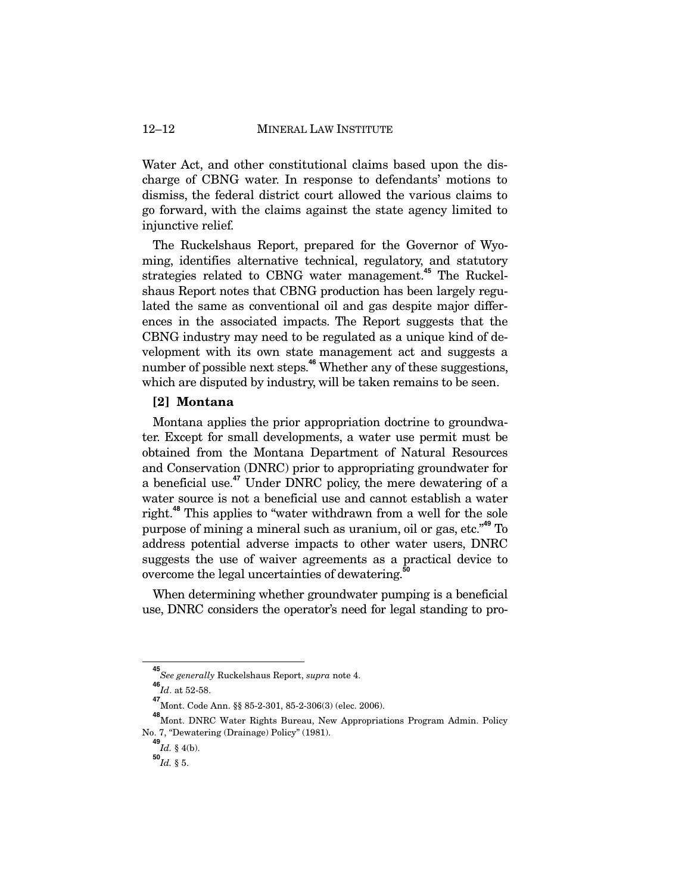Water Act, and other constitutional claims based upon the discharge of CBNG water. In response to defendants' motions to dismiss, the federal district court allowed the various claims to go forward, with the claims against the state agency limited to injunctive relief.

The Ruckelshaus Report, prepared for the Governor of Wyoming, identifies alternative technical, regulatory, and statutory strategies related to CBNG water management.**<sup>45</sup>** The Ruckelshaus Report notes that CBNG production has been largely regulated the same as conventional oil and gas despite major differences in the associated impacts. The Report suggests that the CBNG industry may need to be regulated as a unique kind of development with its own state management act and suggests a number of possible next steps.<sup>46</sup> Whether any of these suggestions, which are disputed by industry, will be taken remains to be seen.

## **[2] Montana**

Montana applies the prior appropriation doctrine to groundwater. Except for small developments, a water use permit must be obtained from the Montana Department of Natural Resources and Conservation (DNRC) prior to appropriating groundwater for a beneficial use.**<sup>47</sup>** Under DNRC policy, the mere dewatering of a water source is not a beneficial use and cannot establish a water right.**<sup>48</sup>** This applies to "water withdrawn from a well for the sole purpose of mining a mineral such as uranium, oil or gas, etc."**<sup>49</sup>** To address potential adverse impacts to other water users, DNRC suggests the use of waiver agreements as a practical device to overcome the legal uncertainties of dewatering.**<sup>50</sup>**

When determining whether groundwater pumping is a beneficial use, DNRC considers the operator's need for legal standing to pro-

**<sup>45</sup>** *See generally* Ruckelshaus Report, *supra* note 4.

**<sup>46</sup>** *Id*. at 52-58.

**<sup>47</sup>** Mont. Code Ann. §§ 85-2-301, 85-2-306(3) (elec. 2006).

**<sup>48</sup>** Mont. DNRC Water Rights Bureau, New Appropriations Program Admin. Policy No. 7, "Dewatering (Drainage) Policy" (1981).

**<sup>49</sup>** *Id.* § 4(b).

 $^{50}$ *Id.* § 5.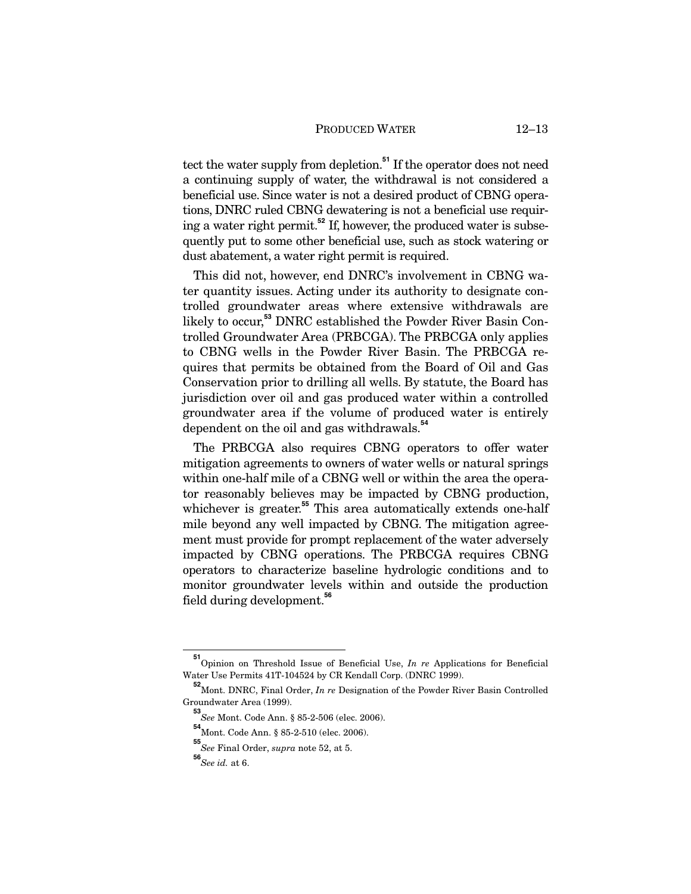tect the water supply from depletion.**<sup>51</sup>** If the operator does not need a continuing supply of water, the withdrawal is not considered a beneficial use. Since water is not a desired product of CBNG operations, DNRC ruled CBNG dewatering is not a beneficial use requiring a water right permit.**<sup>52</sup>** If, however, the produced water is subsequently put to some other beneficial use, such as stock watering or dust abatement, a water right permit is required.

This did not, however, end DNRC's involvement in CBNG water quantity issues. Acting under its authority to designate controlled groundwater areas where extensive withdrawals are likely to occur,**<sup>53</sup>** DNRC established the Powder River Basin Controlled Groundwater Area (PRBCGA). The PRBCGA only applies to CBNG wells in the Powder River Basin. The PRBCGA requires that permits be obtained from the Board of Oil and Gas Conservation prior to drilling all wells. By statute, the Board has jurisdiction over oil and gas produced water within a controlled groundwater area if the volume of produced water is entirely dependent on the oil and gas withdrawals.**<sup>54</sup>**

The PRBCGA also requires CBNG operators to offer water mitigation agreements to owners of water wells or natural springs within one-half mile of a CBNG well or within the area the operator reasonably believes may be impacted by CBNG production, whichever is greater.<sup>55</sup> This area automatically extends one-half mile beyond any well impacted by CBNG. The mitigation agreement must provide for prompt replacement of the water adversely impacted by CBNG operations. The PRBCGA requires CBNG operators to characterize baseline hydrologic conditions and to monitor groundwater levels within and outside the production field during development.**<sup>56</sup>**

**<sup>51</sup>** Opinion on Threshold Issue of Beneficial Use, *In re* Applications for Beneficial Water Use Permits 41T-104524 by CR Kendall Corp. (DNRC 1999).

**<sup>52</sup>** Mont. DNRC, Final Order, *In re* Designation of the Powder River Basin Controlled Groundwater Area (1999).

**<sup>53</sup>** *See* Mont. Code Ann. § 85-2-506 (elec. 2006).

**<sup>54</sup>** Mont. Code Ann. § 85-2-510 (elec. 2006).

**<sup>55</sup>** *See* Final Order, *supra* note 52, at 5.

**<sup>56</sup>***See id.* at 6.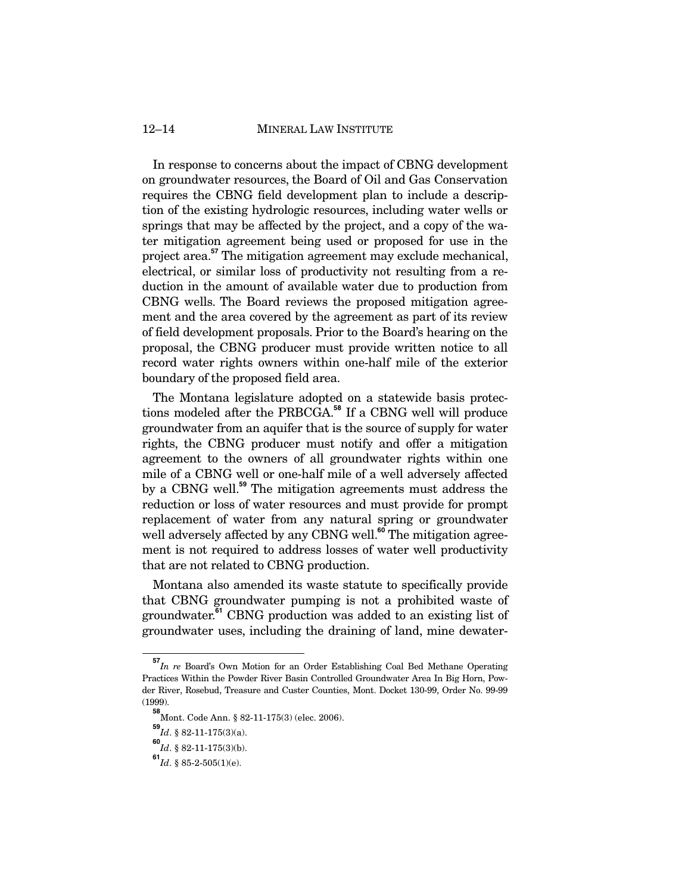### 12–14 MINERAL LAW INSTITUTE

In response to concerns about the impact of CBNG development on groundwater resources, the Board of Oil and Gas Conservation requires the CBNG field development plan to include a description of the existing hydrologic resources, including water wells or springs that may be affected by the project, and a copy of the water mitigation agreement being used or proposed for use in the project area.**<sup>57</sup>** The mitigation agreement may exclude mechanical, electrical, or similar loss of productivity not resulting from a reduction in the amount of available water due to production from CBNG wells. The Board reviews the proposed mitigation agreement and the area covered by the agreement as part of its review of field development proposals. Prior to the Board's hearing on the proposal, the CBNG producer must provide written notice to all record water rights owners within one-half mile of the exterior boundary of the proposed field area.

The Montana legislature adopted on a statewide basis protections modeled after the PRBCGA.**<sup>58</sup>** If a CBNG well will produce groundwater from an aquifer that is the source of supply for water rights, the CBNG producer must notify and offer a mitigation agreement to the owners of all groundwater rights within one mile of a CBNG well or one-half mile of a well adversely affected by a CBNG well.**<sup>59</sup>** The mitigation agreements must address the reduction or loss of water resources and must provide for prompt replacement of water from any natural spring or groundwater well adversely affected by any CBNG well.<sup>60</sup> The mitigation agreement is not required to address losses of water well productivity that are not related to CBNG production.

Montana also amended its waste statute to specifically provide that CBNG groundwater pumping is not a prohibited waste of groundwater.**<sup>61</sup>** CBNG production was added to an existing list of groundwater uses, including the draining of land, mine dewater-

**<sup>57</sup>** *In re* Board's Own Motion for an Order Establishing Coal Bed Methane Operating Practices Within the Powder River Basin Controlled Groundwater Area In Big Horn, Powder River, Rosebud, Treasure and Custer Counties, Mont. Docket 130-99, Order No. 99-99 (1999).

**<sup>58</sup>** Mont. Code Ann. § 82-11-175(3) (elec. 2006).

**<sup>59</sup>** *Id*. § 82-11-175(3)(a).

**<sup>60</sup>** *Id*. § 82-11-175(3)(b).

 $^{\textbf{61}}$   $Id.$  § 85-2-505(1)(e).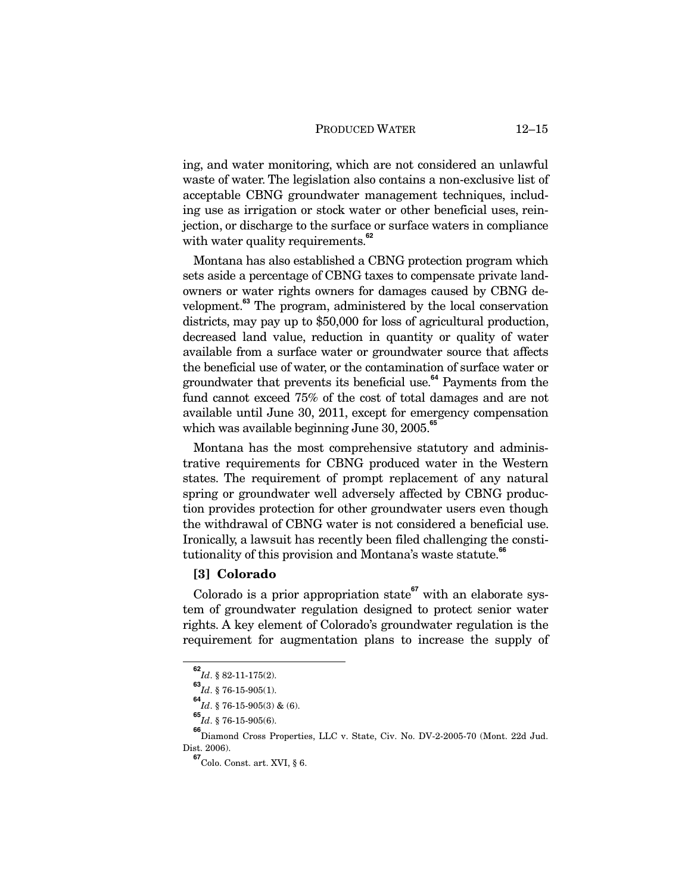ing, and water monitoring, which are not considered an unlawful waste of water. The legislation also contains a non-exclusive list of acceptable CBNG groundwater management techniques, including use as irrigation or stock water or other beneficial uses, reinjection, or discharge to the surface or surface waters in compliance with water quality requirements.**<sup>62</sup>**

Montana has also established a CBNG protection program which sets aside a percentage of CBNG taxes to compensate private landowners or water rights owners for damages caused by CBNG development.**<sup>63</sup>** The program, administered by the local conservation districts, may pay up to \$50,000 for loss of agricultural production, decreased land value, reduction in quantity or quality of water available from a surface water or groundwater source that affects the beneficial use of water, or the contamination of surface water or groundwater that prevents its beneficial use.**<sup>64</sup>** Payments from the fund cannot exceed 75% of the cost of total damages and are not available until June 30, 2011, except for emergency compensation which was available beginning June 30, 2005.**<sup>65</sup>**

Montana has the most comprehensive statutory and administrative requirements for CBNG produced water in the Western states. The requirement of prompt replacement of any natural spring or groundwater well adversely affected by CBNG production provides protection for other groundwater users even though the withdrawal of CBNG water is not considered a beneficial use. Ironically, a lawsuit has recently been filed challenging the constitutionality of this provision and Montana's waste statute.**<sup>66</sup>**

## **[3] Colorado**

Colorado is a prior appropriation state<sup>67</sup> with an elaborate system of groundwater regulation designed to protect senior water rights. A key element of Colorado's groundwater regulation is the requirement for augmentation plans to increase the supply of

 $\frac{62}{1}$ *d*. § 82-11-175(2).

**<sup>63</sup>** *Id*. § 76-15-905(1).

**<sup>64</sup>** *Id*. § 76-15-905(3) & (6).

**<sup>65</sup>** *Id*. § 76-15-905(6).

**<sup>66</sup>** Diamond Cross Properties, LLC v. State, Civ. No. DV-2-2005-70 (Mont. 22d Jud. Dist. 2006).

**<sup>67</sup>**Colo. Const. art. XVI, § 6.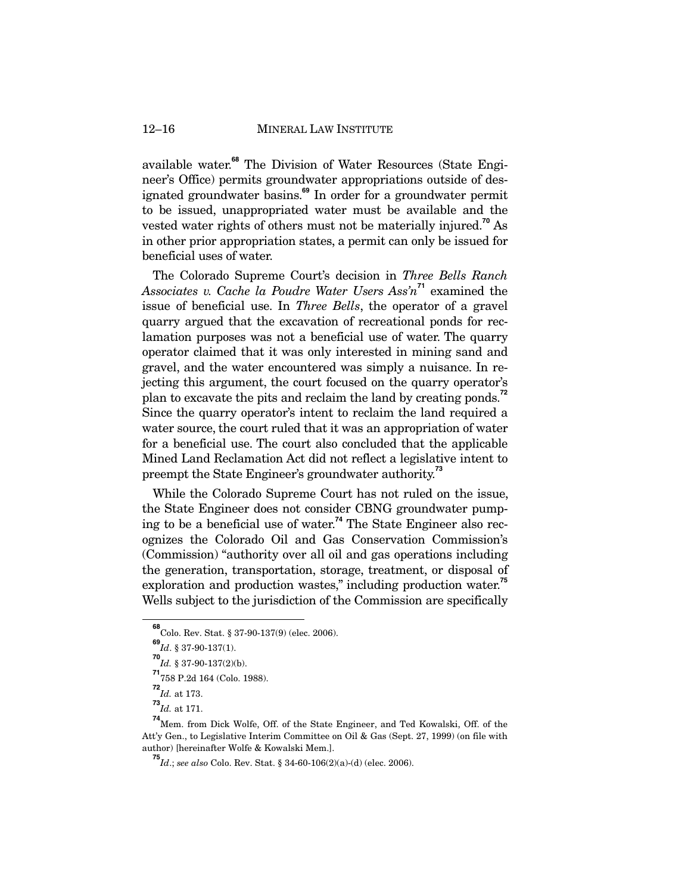available water.**<sup>68</sup>** The Division of Water Resources (State Engineer's Office) permits groundwater appropriations outside of designated groundwater basins.**<sup>69</sup>** In order for a groundwater permit to be issued, unappropriated water must be available and the vested water rights of others must not be materially injured.**<sup>70</sup>** As in other prior appropriation states, a permit can only be issued for beneficial uses of water.

The Colorado Supreme Court's decision in *Three Bells Ranch Associates v. Cache la Poudre Water Users Ass'n***<sup>71</sup>** examined the issue of beneficial use. In *Three Bells*, the operator of a gravel quarry argued that the excavation of recreational ponds for reclamation purposes was not a beneficial use of water. The quarry operator claimed that it was only interested in mining sand and gravel, and the water encountered was simply a nuisance. In rejecting this argument, the court focused on the quarry operator's plan to excavate the pits and reclaim the land by creating ponds.**<sup>72</sup>** Since the quarry operator's intent to reclaim the land required a water source, the court ruled that it was an appropriation of water for a beneficial use. The court also concluded that the applicable Mined Land Reclamation Act did not reflect a legislative intent to preempt the State Engineer's groundwater authority.**<sup>73</sup>**

While the Colorado Supreme Court has not ruled on the issue, the State Engineer does not consider CBNG groundwater pumping to be a beneficial use of water.**<sup>74</sup>** The State Engineer also recognizes the Colorado Oil and Gas Conservation Commission's (Commission) "authority over all oil and gas operations including the generation, transportation, storage, treatment, or disposal of exploration and production wastes," including production water.**<sup>75</sup>** Wells subject to the jurisdiction of the Commission are specifically

**<sup>68</sup>** Colo. Rev. Stat. § 37-90-137(9) (elec. 2006).

**<sup>69</sup>** *Id*. § 37-90-137(1).

**<sup>70</sup>** *Id.* § 37-90-137(2)(b).

**<sup>71</sup>** 758 P.2d 164 (Colo. 1988).

**<sup>72</sup>** *Id.* at 173.

**<sup>73</sup>** *Id.* at 171.

**<sup>74</sup>** Mem. from Dick Wolfe, Off. of the State Engineer, and Ted Kowalski, Off. of the Att'y Gen., to Legislative Interim Committee on Oil & Gas (Sept. 27, 1999) (on file with author) [hereinafter Wolfe & Kowalski Mem.].

**<sup>75</sup>***Id*.; *see also* Colo. Rev. Stat. § 34-60-106(2)(a)-(d) (elec. 2006).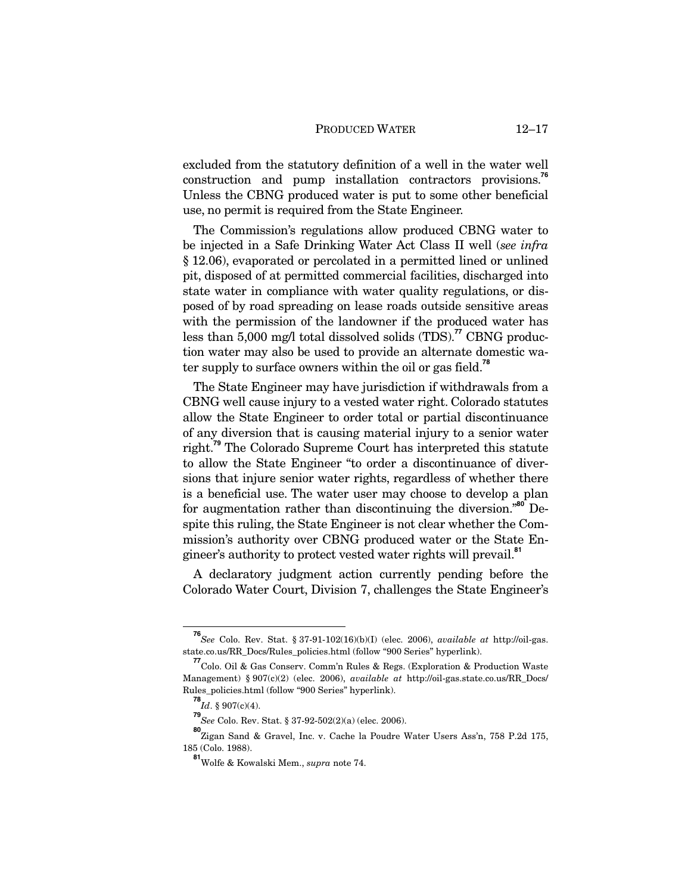excluded from the statutory definition of a well in the water well construction and pump installation contractors provisions.**<sup>76</sup>** Unless the CBNG produced water is put to some other beneficial use, no permit is required from the State Engineer.

The Commission's regulations allow produced CBNG water to be injected in a Safe Drinking Water Act Class II well (*see infra* § 12.06), evaporated or percolated in a permitted lined or unlined pit, disposed of at permitted commercial facilities, discharged into state water in compliance with water quality regulations, or disposed of by road spreading on lease roads outside sensitive areas with the permission of the landowner if the produced water has less than 5,000 mg/l total dissolved solids (TDS).**<sup>77</sup>** CBNG production water may also be used to provide an alternate domestic water supply to surface owners within the oil or gas field.**<sup>78</sup>**

The State Engineer may have jurisdiction if withdrawals from a CBNG well cause injury to a vested water right. Colorado statutes allow the State Engineer to order total or partial discontinuance of any diversion that is causing material injury to a senior water right.**<sup>79</sup>** The Colorado Supreme Court has interpreted this statute to allow the State Engineer "to order a discontinuance of diversions that injure senior water rights, regardless of whether there is a beneficial use. The water user may choose to develop a plan for augmentation rather than discontinuing the diversion."**<sup>80</sup>** Despite this ruling, the State Engineer is not clear whether the Commission's authority over CBNG produced water or the State Engineer's authority to protect vested water rights will prevail.**<sup>81</sup>**

A declaratory judgment action currently pending before the Colorado Water Court, Division 7, challenges the State Engineer's

**<sup>76</sup>** *See* Colo. Rev. Stat. § 37-91-102(16)(b)(I) (elec. 2006), *available at* http://oil-gas. state.co.us/RR\_Docs/Rules\_policies.html (follow "900 Series" hyperlink).

**<sup>77</sup>** Colo. Oil & Gas Conserv. Comm'n Rules & Regs. (Exploration & Production Waste Management) § 907(c)(2) (elec. 2006), *available at* http://oil-gas.state.co.us/RR\_Docs/ Rules\_policies.html (follow "900 Series" hyperlink).

**<sup>78</sup>** *Id*. § 907(c)(4).

**<sup>79</sup>** *See* Colo. Rev. Stat. § 37-92-502(2)(a) (elec. 2006).

**<sup>80</sup>** Zigan Sand & Gravel, Inc. v. Cache la Poudre Water Users Ass'n, 758 P.2d 175, 185 (Colo. 1988).

**<sup>81</sup>**Wolfe & Kowalski Mem., *supra* note 74.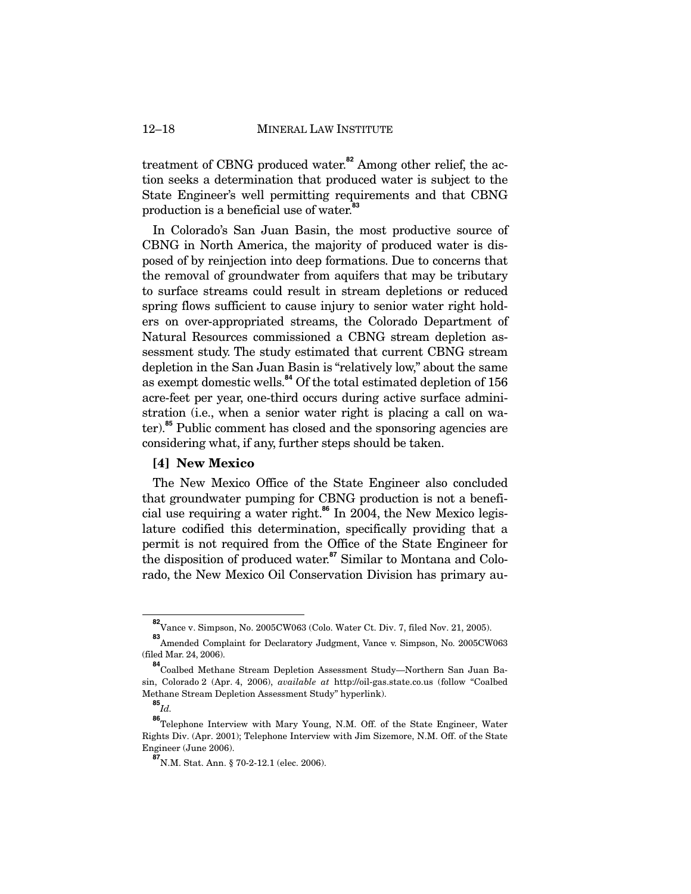treatment of CBNG produced water.**<sup>82</sup>** Among other relief, the action seeks a determination that produced water is subject to the State Engineer's well permitting requirements and that CBNG production is a beneficial use of water.**<sup>83</sup>**

In Colorado's San Juan Basin, the most productive source of CBNG in North America, the majority of produced water is disposed of by reinjection into deep formations. Due to concerns that the removal of groundwater from aquifers that may be tributary to surface streams could result in stream depletions or reduced spring flows sufficient to cause injury to senior water right holders on over-appropriated streams, the Colorado Department of Natural Resources commissioned a CBNG stream depletion assessment study. The study estimated that current CBNG stream depletion in the San Juan Basin is "relatively low," about the same as exempt domestic wells.**<sup>84</sup>** Of the total estimated depletion of 156 acre-feet per year, one-third occurs during active surface administration (i.e., when a senior water right is placing a call on water).**<sup>85</sup>** Public comment has closed and the sponsoring agencies are considering what, if any, further steps should be taken.

## **[4] New Mexico**

The New Mexico Office of the State Engineer also concluded that groundwater pumping for CBNG production is not a beneficial use requiring a water right.**<sup>86</sup>** In 2004, the New Mexico legislature codified this determination, specifically providing that a permit is not required from the Office of the State Engineer for the disposition of produced water.**<sup>87</sup>** Similar to Montana and Colorado, the New Mexico Oil Conservation Division has primary au-

**<sup>82</sup>** Vance v. Simpson, No. 2005CW063 (Colo. Water Ct. Div. 7, filed Nov. 21, 2005).

**<sup>83</sup>** Amended Complaint for Declaratory Judgment, Vance v. Simpson, No. 2005CW063 (filed Mar. 24, 2006).

**<sup>84</sup>** Coalbed Methane Stream Depletion Assessment Study—Northern San Juan Basin, Colorado 2 (Apr. 4, 2006), *available at* http://oil-gas.state.co.us (follow "Coalbed Methane Stream Depletion Assessment Study" hyperlink).

**<sup>85</sup>** *Id.* 

**<sup>86</sup>** Telephone Interview with Mary Young, N.M. Off. of the State Engineer, Water Rights Div. (Apr. 2001); Telephone Interview with Jim Sizemore, N.M. Off. of the State Engineer (June 2006).

**<sup>87</sup>**N.M. Stat. Ann. § 70-2-12.1 (elec. 2006).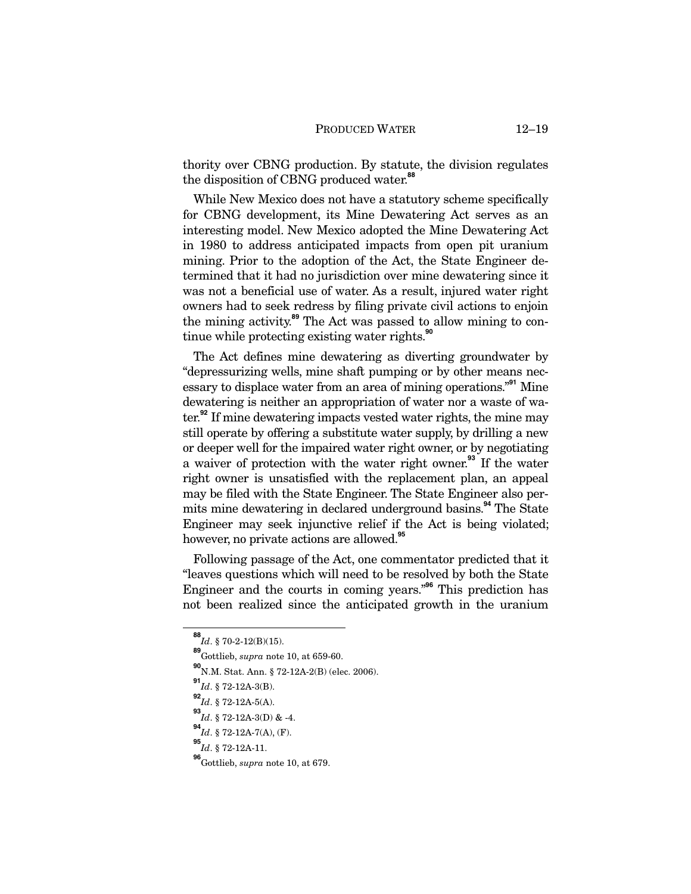thority over CBNG production. By statute, the division regulates the disposition of CBNG produced water.**<sup>88</sup>**

While New Mexico does not have a statutory scheme specifically for CBNG development, its Mine Dewatering Act serves as an interesting model. New Mexico adopted the Mine Dewatering Act in 1980 to address anticipated impacts from open pit uranium mining. Prior to the adoption of the Act, the State Engineer determined that it had no jurisdiction over mine dewatering since it was not a beneficial use of water. As a result, injured water right owners had to seek redress by filing private civil actions to enjoin the mining activity.**<sup>89</sup>** The Act was passed to allow mining to continue while protecting existing water rights.**<sup>90</sup>**

The Act defines mine dewatering as diverting groundwater by "depressurizing wells, mine shaft pumping or by other means necessary to displace water from an area of mining operations."**<sup>91</sup>** Mine dewatering is neither an appropriation of water nor a waste of water.**<sup>92</sup>** If mine dewatering impacts vested water rights, the mine may still operate by offering a substitute water supply, by drilling a new or deeper well for the impaired water right owner, or by negotiating a waiver of protection with the water right owner.**<sup>93</sup>** If the water right owner is unsatisfied with the replacement plan, an appeal may be filed with the State Engineer. The State Engineer also permits mine dewatering in declared underground basins.**<sup>94</sup>** The State Engineer may seek injunctive relief if the Act is being violated; however, no private actions are allowed.**<sup>95</sup>**

Following passage of the Act, one commentator predicted that it "leaves questions which will need to be resolved by both the State Engineer and the courts in coming years."**<sup>96</sup>** This prediction has not been realized since the anticipated growth in the uranium

**<sup>88</sup>** *Id*. § 70-2-12(B)(15).

**<sup>89</sup>** Gottlieb, *supra* note 10, at 659-60.

**<sup>90</sup>** N.M. Stat. Ann. § 72-12A-2(B) (elec. 2006).

**<sup>91</sup>** *Id*. § 72-12A-3(B).

**<sup>92</sup>** *Id*. § 72-12A-5(A).

**<sup>93</sup>** *Id*. § 72-12A-3(D) & -4.

**<sup>94</sup>** *Id*. § 72-12A-7(A), (F).

**<sup>95</sup>** *Id*. § 72-12A-11.

**<sup>96</sup>**Gottlieb, *supra* note 10, at 679.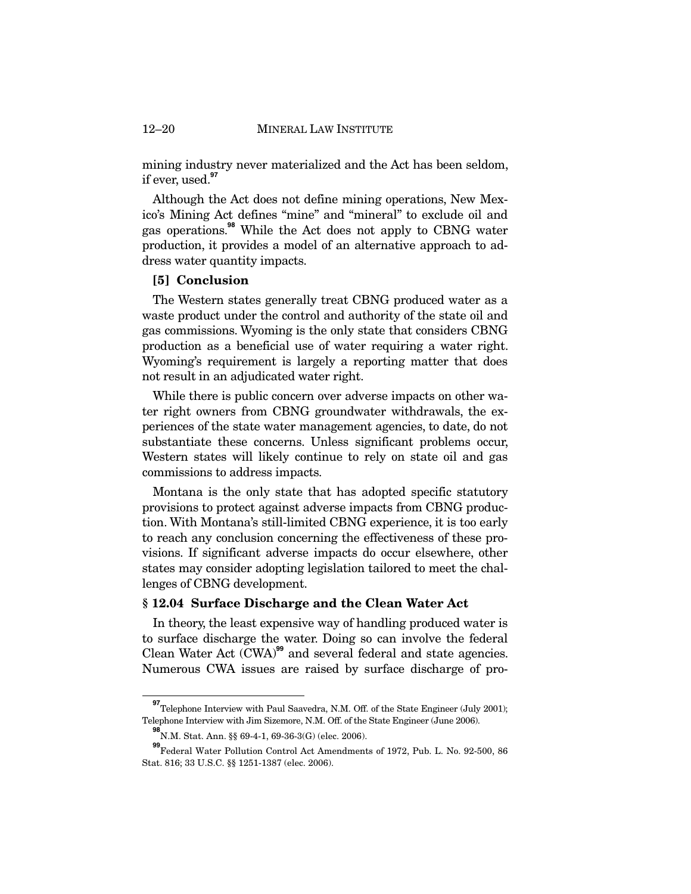### 12–20 MINERAL LAW INSTITUTE

mining industry never materialized and the Act has been seldom, if ever, used.**<sup>97</sup>**

Although the Act does not define mining operations, New Mexico's Mining Act defines "mine" and "mineral" to exclude oil and gas operations.**<sup>98</sup>** While the Act does not apply to CBNG water production, it provides a model of an alternative approach to address water quantity impacts.

## **[5] Conclusion**

The Western states generally treat CBNG produced water as a waste product under the control and authority of the state oil and gas commissions. Wyoming is the only state that considers CBNG production as a beneficial use of water requiring a water right. Wyoming's requirement is largely a reporting matter that does not result in an adjudicated water right.

While there is public concern over adverse impacts on other water right owners from CBNG groundwater withdrawals, the experiences of the state water management agencies, to date, do not substantiate these concerns. Unless significant problems occur, Western states will likely continue to rely on state oil and gas commissions to address impacts.

Montana is the only state that has adopted specific statutory provisions to protect against adverse impacts from CBNG production. With Montana's still-limited CBNG experience, it is too early to reach any conclusion concerning the effectiveness of these provisions. If significant adverse impacts do occur elsewhere, other states may consider adopting legislation tailored to meet the challenges of CBNG development.

### **§ 12.04 Surface Discharge and the Clean Water Act**

In theory, the least expensive way of handling produced water is to surface discharge the water. Doing so can involve the federal Clean Water Act (CWA)**<sup>99</sup>** and several federal and state agencies. Numerous CWA issues are raised by surface discharge of pro-

<sup>&</sup>lt;sup>97</sup><br>Telephone Interview with Paul Saavedra, N.M. Off. of the State Engineer (July 2001); Telephone Interview with Jim Sizemore, N.M. Off. of the State Engineer (June 2006).

**<sup>98</sup>** N.M. Stat. Ann. §§ 69-4-1, 69-36-3(G) (elec. 2006).

**<sup>99</sup>** Federal Water Pollution Control Act Amendments of 1972, Pub. L. No. 92-500, 86 Stat. 816; 33 U.S.C. §§ 1251-1387 (elec. 2006).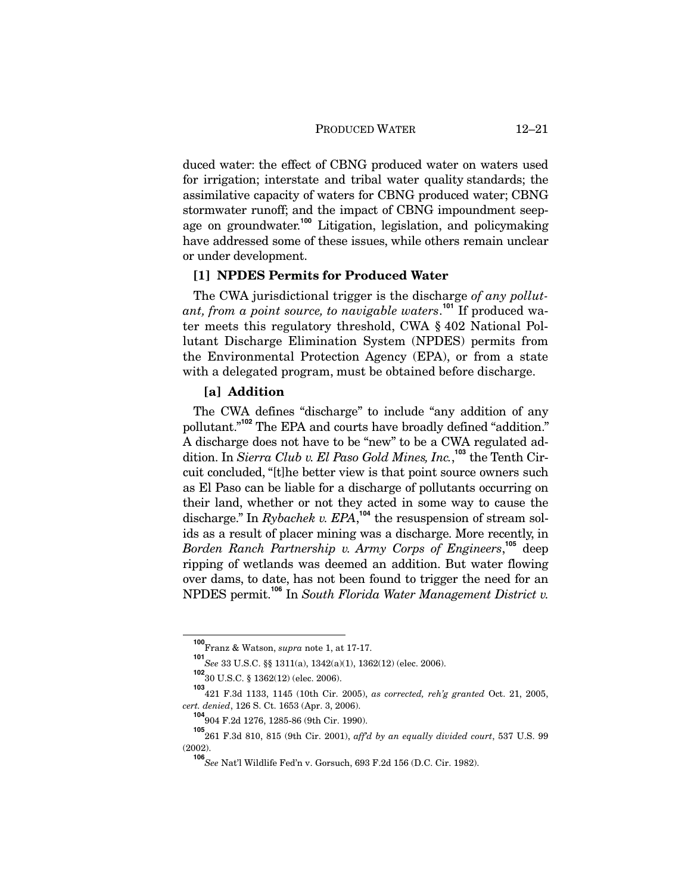duced water: the effect of CBNG produced water on waters used for irrigation; interstate and tribal water quality standards; the assimilative capacity of waters for CBNG produced water; CBNG stormwater runoff; and the impact of CBNG impoundment seepage on groundwater.**<sup>100</sup>** Litigation, legislation, and policymaking have addressed some of these issues, while others remain unclear or under development.

## **[1] NPDES Permits for Produced Water**

The CWA jurisdictional trigger is the discharge *of any pollutant, from a point source, to navigable waters*. **<sup>101</sup>** If produced water meets this regulatory threshold, CWA § 402 National Pollutant Discharge Elimination System (NPDES) permits from the Environmental Protection Agency (EPA), or from a state with a delegated program, must be obtained before discharge.

## **[a] Addition**

The CWA defines "discharge" to include "any addition of any pollutant."**<sup>102</sup>** The EPA and courts have broadly defined "addition." A discharge does not have to be "new" to be a CWA regulated addition. In *Sierra Club v. El Paso Gold Mines, Inc.*, **<sup>103</sup>** the Tenth Circuit concluded, "[t]he better view is that point source owners such as El Paso can be liable for a discharge of pollutants occurring on their land, whether or not they acted in some way to cause the discharge." In *Rybachek v. EPA*, **<sup>104</sup>** the resuspension of stream solids as a result of placer mining was a discharge. More recently, in *Borden Ranch Partnership v. Army Corps of Engineers*, **<sup>105</sup>** deep ripping of wetlands was deemed an addition. But water flowing over dams, to date, has not been found to trigger the need for an NPDES permit.**<sup>106</sup>** In *South Florida Water Management District v.* 

**<sup>100</sup>** Franz & Watson, *supra* note 1, at 17-17.

**<sup>101</sup>** *See* 33 U.S.C. §§ 1311(a), 1342(a)(1), 1362(12) (elec. 2006).

**<sup>102</sup>** 30 U.S.C. § 1362(12) (elec. 2006).

**<sup>103</sup>** 421 F.3d 1133, 1145 (10th Cir. 2005), *as corrected, reh'g granted* Oct. 21, 2005, *cert. denied*, 126 S. Ct. 1653 (Apr. 3, 2006).

**<sup>104</sup>** 904 F.2d 1276, 1285-86 (9th Cir. 1990).

**<sup>105</sup>** 261 F.3d 810, 815 (9th Cir. 2001), *aff'd by an equally divided court*, 537 U.S. 99 (2002).

**<sup>106</sup>***See* Nat'l Wildlife Fed'n v. Gorsuch, 693 F.2d 156 (D.C. Cir. 1982).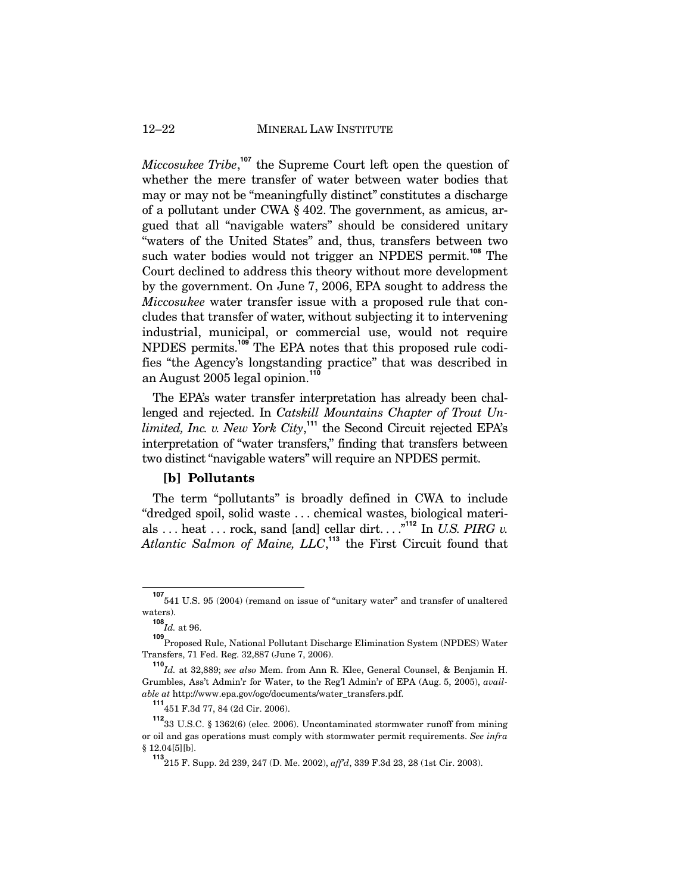### 12–22 MINERAL LAW INSTITUTE

*Miccosukee Tribe*,<sup>107</sup> the Supreme Court left open the question of whether the mere transfer of water between water bodies that may or may not be "meaningfully distinct" constitutes a discharge of a pollutant under CWA § 402. The government, as amicus, argued that all "navigable waters" should be considered unitary "waters of the United States" and, thus, transfers between two such water bodies would not trigger an NPDES permit.**<sup>108</sup>** The Court declined to address this theory without more development by the government. On June 7, 2006, EPA sought to address the *Miccosukee* water transfer issue with a proposed rule that concludes that transfer of water, without subjecting it to intervening industrial, municipal, or commercial use, would not require NPDES permits.**<sup>109</sup>** The EPA notes that this proposed rule codifies "the Agency's longstanding practice" that was described in an August 2005 legal opinion.**<sup>110</sup>**

The EPA's water transfer interpretation has already been challenged and rejected. In *Catskill Mountains Chapter of Trout Unlimited, Inc. v. New York City*, **<sup>111</sup>** the Second Circuit rejected EPA's interpretation of "water transfers," finding that transfers between two distinct "navigable waters" will require an NPDES permit.

## **[b] Pollutants**

The term "pollutants" is broadly defined in CWA to include "dredged spoil, solid waste . . . chemical wastes, biological materials . . . heat . . . rock, sand [and] cellar dirt. . . ."**<sup>112</sup>** In *U.S. PIRG v. Atlantic Salmon of Maine, LLC*, **<sup>113</sup>** the First Circuit found that

**<sup>107</sup>** 541 U.S. 95 (2004) (remand on issue of "unitary water" and transfer of unaltered waters).

**<sup>108</sup>** *Id.* at 96.

**<sup>109</sup>** Proposed Rule, National Pollutant Discharge Elimination System (NPDES) Water Transfers, 71 Fed. Reg. 32,887 (June 7, 2006).

**<sup>110</sup>** *Id.* at 32,889; *see also* Mem. from Ann R. Klee, General Counsel, & Benjamin H. Grumbles, Ass't Admin'r for Water, to the Reg'l Admin'r of EPA (Aug. 5, 2005), *available at* http://www.epa.gov/ogc/documents/water\_transfers.pdf.

**<sup>111</sup>** 451 F.3d 77, 84 (2d Cir. 2006).

**<sup>112</sup>** 33 U.S.C. § 1362(6) (elec. 2006). Uncontaminated stormwater runoff from mining or oil and gas operations must comply with stormwater permit requirements. *See infra* § 12.04[5][b].

**<sup>113</sup>**215 F. Supp. 2d 239, 247 (D. Me. 2002), *aff'd*, 339 F.3d 23, 28 (1st Cir. 2003).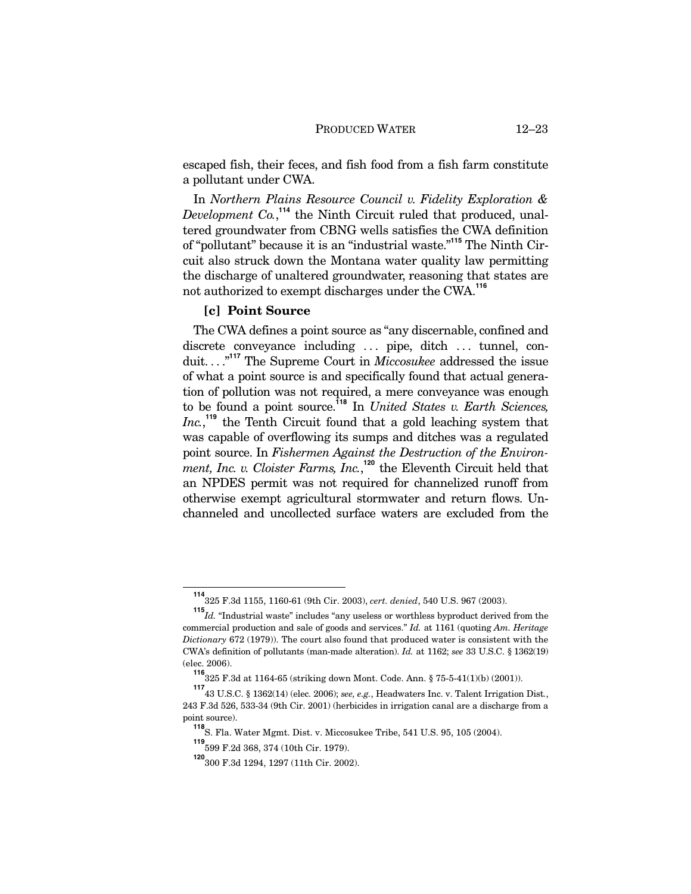escaped fish, their feces, and fish food from a fish farm constitute a pollutant under CWA.

In *Northern Plains Resource Council v. Fidelity Exploration &*  Development Co.,<sup>114</sup> the Ninth Circuit ruled that produced, unaltered groundwater from CBNG wells satisfies the CWA definition of "pollutant" because it is an "industrial waste."**<sup>115</sup>** The Ninth Circuit also struck down the Montana water quality law permitting the discharge of unaltered groundwater, reasoning that states are not authorized to exempt discharges under the CWA.**<sup>116</sup>**

## **[c] Point Source**

The CWA defines a point source as "any discernable, confined and discrete conveyance including ... pipe, ditch ... tunnel, conduit. . . ."**<sup>117</sup>** The Supreme Court in *Miccosukee* addressed the issue of what a point source is and specifically found that actual generation of pollution was not required, a mere conveyance was enough to be found a point source.**<sup>118</sup>** In *United States v. Earth Sciences,*  Inc.,<sup>119</sup> the Tenth Circuit found that a gold leaching system that was capable of overflowing its sumps and ditches was a regulated point source. In *Fishermen Against the Destruction of the Environment, Inc. v. Cloister Farms, Inc.*,<sup>120</sup> the Eleventh Circuit held that an NPDES permit was not required for channelized runoff from otherwise exempt agricultural stormwater and return flows. Unchanneled and uncollected surface waters are excluded from the

**<sup>114</sup>** 325 F.3d 1155, 1160-61 (9th Cir. 2003), *cert. denied*, 540 U.S. 967 (2003).

**<sup>115</sup>** *Id.* "Industrial waste" includes "any useless or worthless byproduct derived from the commercial production and sale of goods and services." *Id.* at 1161 (quoting *Am. Heritage Dictionary* 672 (1979)). The court also found that produced water is consistent with the CWA's definition of pollutants (man-made alteration). *Id.* at 1162; *see* 33 U.S.C. § 1362(19) (elec. 2006).

**<sup>116</sup>** 325 F.3d at 1164-65 (striking down Mont. Code. Ann. § 75-5-41(1)(b) (2001)).

**<sup>117</sup>** 43 U.S.C. § 1362(14) (elec. 2006); *see, e.g.*, Headwaters Inc. v. Talent Irrigation Dist*.*, 243 F.3d 526, 533-34 (9th Cir. 2001) (herbicides in irrigation canal are a discharge from a point source).

**<sup>118</sup>** S. Fla. Water Mgmt. Dist. v. Miccosukee Tribe, 541 U.S. 95, 105 (2004).

**<sup>119</sup>** 599 F.2d 368, 374 (10th Cir. 1979).

**<sup>120</sup>**300 F.3d 1294, 1297 (11th Cir. 2002).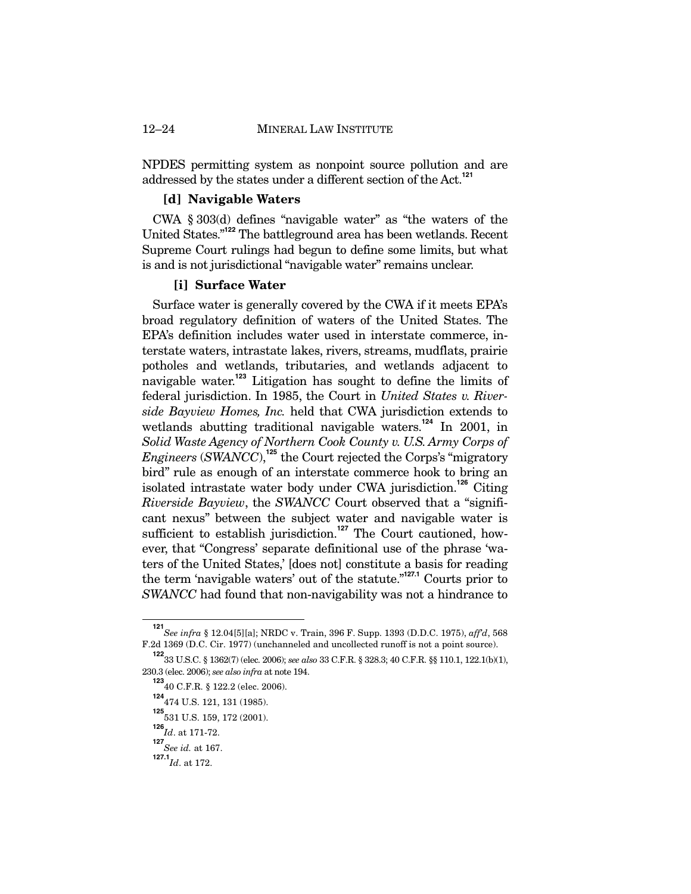### 12–24 MINERAL LAW INSTITUTE

NPDES permitting system as nonpoint source pollution and are addressed by the states under a different section of the Act.**<sup>121</sup>**

### **[d] Navigable Waters**

CWA § 303(d) defines "navigable water" as "the waters of the United States."**<sup>122</sup>** The battleground area has been wetlands. Recent Supreme Court rulings had begun to define some limits, but what is and is not jurisdictional "navigable water" remains unclear.

### **[i] Surface Water**

Surface water is generally covered by the CWA if it meets EPA's broad regulatory definition of waters of the United States. The EPA's definition includes water used in interstate commerce, interstate waters, intrastate lakes, rivers, streams, mudflats, prairie potholes and wetlands, tributaries, and wetlands adjacent to navigable water.**<sup>123</sup>** Litigation has sought to define the limits of federal jurisdiction. In 1985, the Court in *United States v. Riverside Bayview Homes, Inc.* held that CWA jurisdiction extends to wetlands abutting traditional navigable waters.<sup>124</sup> In 2001, in *Solid Waste Agency of Northern Cook County v. U.S. Army Corps of Engineers* (*SWANCC*),<sup>125</sup> the Court rejected the Corps's "migratory bird" rule as enough of an interstate commerce hook to bring an isolated intrastate water body under CWA jurisdiction.**<sup>126</sup>** Citing *Riverside Bayview*, the *SWANCC* Court observed that a "significant nexus" between the subject water and navigable water is sufficient to establish jurisdiction.<sup>127</sup> The Court cautioned, however, that "Congress' separate definitional use of the phrase 'waters of the United States,' [does not] constitute a basis for reading the term 'navigable waters' out of the statute."**127.1** Courts prior to *SWANCC* had found that non-navigability was not a hindrance to

**<sup>121</sup>** *See infra* § 12.04[5][a]; NRDC v. Train, 396 F. Supp. 1393 (D.D.C. 1975), *aff'd*, 568 F.2d 1369 (D.C. Cir. 1977) (unchanneled and uncollected runoff is not a point source).

**<sup>122</sup>** 33 U.S.C. § 1362(7) (elec. 2006); *see also* 33 C.F.R. § 328.3; 40 C.F.R. §§ 110.1, 122.1(b)(1), 230.3 (elec. 2006); *see also infra* at note 194.

**<sup>123</sup>** 40 C.F.R. § 122.2 (elec. 2006).

**<sup>124</sup>** 474 U.S. 121, 131 (1985).

**<sup>125</sup>** 531 U.S. 159, 172 (2001).

**<sup>126</sup>** *Id*. at 171-72.

**<sup>127</sup>** *See id.* at 167.

**<sup>127.1</sup>***Id*. at 172.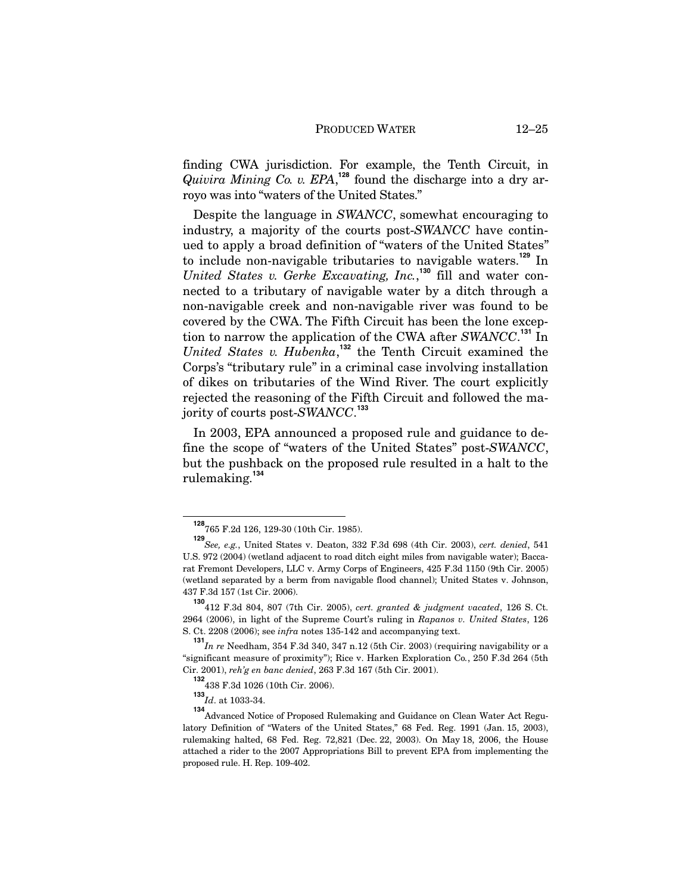finding CWA jurisdiction. For example, the Tenth Circuit, in *Quivira Mining Co. v. EPA*, **<sup>128</sup>** found the discharge into a dry arroyo was into "waters of the United States."

Despite the language in *SWANCC*, somewhat encouraging to industry, a majority of the courts post-*SWANCC* have continued to apply a broad definition of "waters of the United States" to include non-navigable tributaries to navigable waters.**<sup>129</sup>** In *United States v. Gerke Excavating, Inc.*, **<sup>130</sup>** fill and water connected to a tributary of navigable water by a ditch through a non-navigable creek and non-navigable river was found to be covered by the CWA. The Fifth Circuit has been the lone exception to narrow the application of the CWA after *SWANCC*. **<sup>131</sup>** In *United States v. Hubenka*, **<sup>132</sup>** the Tenth Circuit examined the Corps's "tributary rule" in a criminal case involving installation of dikes on tributaries of the Wind River. The court explicitly rejected the reasoning of the Fifth Circuit and followed the majority of courts post-*SWANCC*. **133**

In 2003, EPA announced a proposed rule and guidance to define the scope of "waters of the United States" post-*SWANCC*, but the pushback on the proposed rule resulted in a halt to the rulemaking.**<sup>134</sup>**

**<sup>128</sup>** 765 F.2d 126, 129-30 (10th Cir. 1985).

**<sup>129</sup>** *See, e.g.*, United States v. Deaton, 332 F.3d 698 (4th Cir. 2003), *cert. denied*, 541 U.S. 972 (2004) (wetland adjacent to road ditch eight miles from navigable water); Baccarat Fremont Developers, LLC v. Army Corps of Engineers, 425 F.3d 1150 (9th Cir. 2005) (wetland separated by a berm from navigable flood channel); United States v. Johnson, 437 F.3d 157 (1st Cir. 2006).

**<sup>130</sup>**412 F.3d 804, 807 (7th Cir. 2005), *cert. granted & judgment vacated*, 126 S. Ct. 2964 (2006), in light of the Supreme Court's ruling in *Rapanos v. United States*, 126 S. Ct. 2208 (2006); see *infra* notes 135-142 and accompanying text.

**<sup>131</sup>** *In re* Needham, 354 F.3d 340, 347 n.12 (5th Cir. 2003) (requiring navigability or a "significant measure of proximity"); Rice v. Harken Exploration Co*.*, 250 F.3d 264 (5th Cir. 2001), *reh'g en banc denied*, 263 F.3d 167 (5th Cir. 2001).

**<sup>132</sup>** 438 F.3d 1026 (10th Cir. 2006).

**<sup>133</sup>** *Id*. at 1033-34.

**<sup>134</sup>** Advanced Notice of Proposed Rulemaking and Guidance on Clean Water Act Regulatory Definition of "Waters of the United States," 68 Fed. Reg. 1991 (Jan. 15, 2003), rulemaking halted, 68 Fed. Reg. 72,821 (Dec. 22, 2003). On May 18, 2006, the House attached a rider to the 2007 Appropriations Bill to prevent EPA from implementing the proposed rule. H. Rep. 109-402.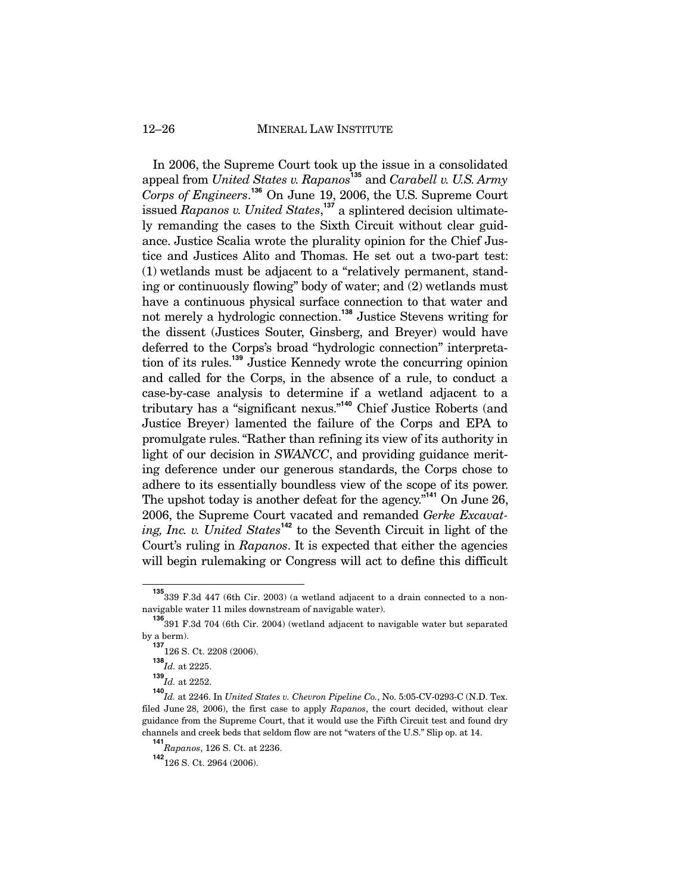12–26 MINERAL LAW INSTITUTE

In 2006, the Supreme Court took up the issue in a consolidated appeal from *United States v. Rapanos***<sup>135</sup>** and *Carabell v. U.S. Army Corps of Engineers*. **<sup>136</sup>** On June 19, 2006, the U.S. Supreme Court issued *Rapanos v. United States*, **<sup>137</sup>** a splintered decision ultimately remanding the cases to the Sixth Circuit without clear guidance. Justice Scalia wrote the plurality opinion for the Chief Justice and Justices Alito and Thomas. He set out a two-part test: (1) wetlands must be adjacent to a "relatively permanent, standing or continuously flowing" body of water; and (2) wetlands must have a continuous physical surface connection to that water and not merely a hydrologic connection.**<sup>138</sup>** Justice Stevens writing for the dissent (Justices Souter, Ginsberg, and Breyer) would have deferred to the Corps's broad "hydrologic connection" interpretation of its rules.**<sup>139</sup>** Justice Kennedy wrote the concurring opinion and called for the Corps, in the absence of a rule, to conduct a case-by-case analysis to determine if a wetland adjacent to a tributary has a "significant nexus."**<sup>140</sup>** Chief Justice Roberts (and Justice Breyer) lamented the failure of the Corps and EPA to promulgate rules. "Rather than refining its view of its authority in light of our decision in *SWANCC*, and providing guidance meriting deference under our generous standards, the Corps chose to adhere to its essentially boundless view of the scope of its power. The upshot today is another defeat for the agency."**<sup>141</sup>** On June 26, 2006, the Supreme Court vacated and remanded *Gerke Excavating, Inc. v. United States***<sup>142</sup>** to the Seventh Circuit in light of the Court's ruling in *Rapanos*. It is expected that either the agencies will begin rulemaking or Congress will act to define this difficult

<sup>&</sup>lt;sup>135</sup><sub>339</sub> F.3d 447 (6th Cir. 2003) (a wetland adjacent to a drain connected to a nonnavigable water 11 miles downstream of navigable water).

**<sup>136</sup>** 391 F.3d 704 (6th Cir. 2004) (wetland adjacent to navigable water but separated by a berm).

**<sup>137</sup>** 126 S. Ct. 2208 (2006).

**<sup>138</sup>** *Id.* at 2225.

**<sup>139</sup>** *Id.* at 2252.

**<sup>140</sup>** *Id.* at 2246. In *United States v. Chevron Pipeline Co.*, No. 5:05-CV-0293-C (N.D. Tex. filed June 28, 2006), the first case to apply *Rapanos*, the court decided, without clear guidance from the Supreme Court, that it would use the Fifth Circuit test and found dry channels and creek beds that seldom flow are not "waters of the U.S." Slip op. at 14.

**<sup>141</sup>** *Rapanos*, 126 S. Ct. at 2236.

**<sup>142</sup>**126 S. Ct. 2964 (2006).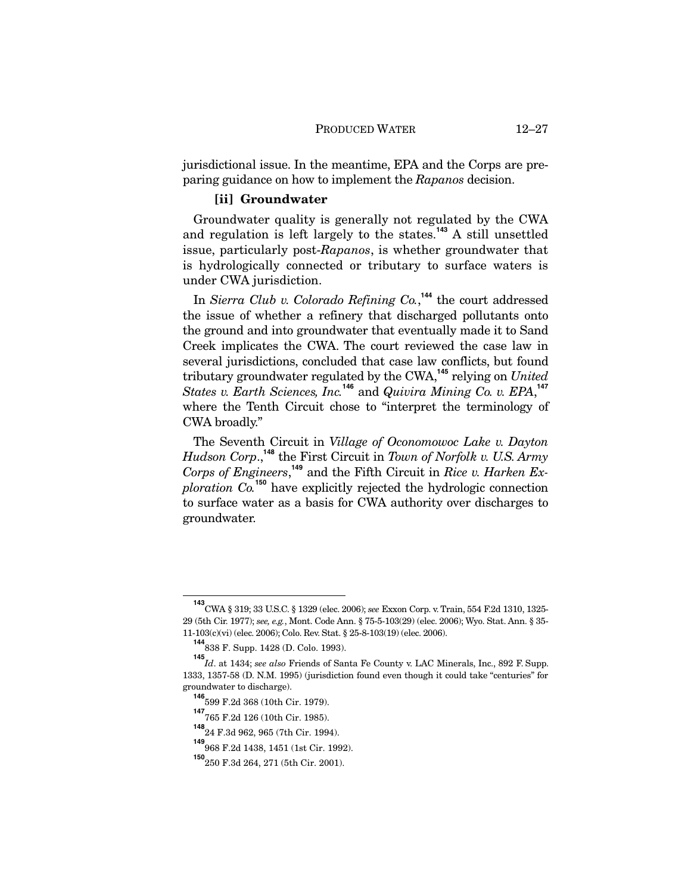jurisdictional issue. In the meantime, EPA and the Corps are preparing guidance on how to implement the *Rapanos* decision.

### **[ii] Groundwater**

Groundwater quality is generally not regulated by the CWA and regulation is left largely to the states.**<sup>143</sup>** A still unsettled issue, particularly post-*Rapanos*, is whether groundwater that is hydrologically connected or tributary to surface waters is under CWA jurisdiction.

In *Sierra Club v. Colorado Refining Co.*, **<sup>144</sup>** the court addressed the issue of whether a refinery that discharged pollutants onto the ground and into groundwater that eventually made it to Sand Creek implicates the CWA. The court reviewed the case law in several jurisdictions, concluded that case law conflicts, but found tributary groundwater regulated by the CWA,**<sup>145</sup>** relying on *United States v. Earth Sciences, Inc.***<sup>146</sup>** and *Quivira Mining Co. v. EPA*, **147** where the Tenth Circuit chose to "interpret the terminology of CWA broadly."

The Seventh Circuit in *Village of Oconomowoc Lake v. Dayton Hudson Corp*., **<sup>148</sup>** the First Circuit in *Town of Norfolk v. U.S. Army Corps of Engineers*, **<sup>149</sup>** and the Fifth Circuit in *Rice v. Harken Exploration Co.***<sup>150</sup>** have explicitly rejected the hydrologic connection to surface water as a basis for CWA authority over discharges to groundwater.

**<sup>143</sup>** CWA § 319; 33 U.S.C. § 1329 (elec. 2006); *see* Exxon Corp. v. Train, 554 F.2d 1310, 1325- 29 (5th Cir. 1977); *see, e.g.*, Mont. Code Ann. § 75-5-103(29) (elec. 2006); Wyo. Stat. Ann. § 35- 11-103(c)(vi) (elec. 2006); Colo. Rev. Stat. § 25-8-103(19) (elec. 2006).

**<sup>144</sup>** 838 F. Supp. 1428 (D. Colo. 1993).

**<sup>145</sup>** *Id*. at 1434; *see also* Friends of Santa Fe County v. LAC Minerals, Inc., 892 F. Supp. 1333, 1357-58 (D. N.M. 1995) (jurisdiction found even though it could take "centuries" for groundwater to discharge).

**<sup>146</sup>** 599 F.2d 368 (10th Cir. 1979).

**<sup>147</sup>** 765 F.2d 126 (10th Cir. 1985).

**<sup>148</sup>** 24 F.3d 962, 965 (7th Cir. 1994).

**<sup>149</sup>** 968 F.2d 1438, 1451 (1st Cir. 1992).

**<sup>150</sup>**250 F.3d 264, 271 (5th Cir. 2001).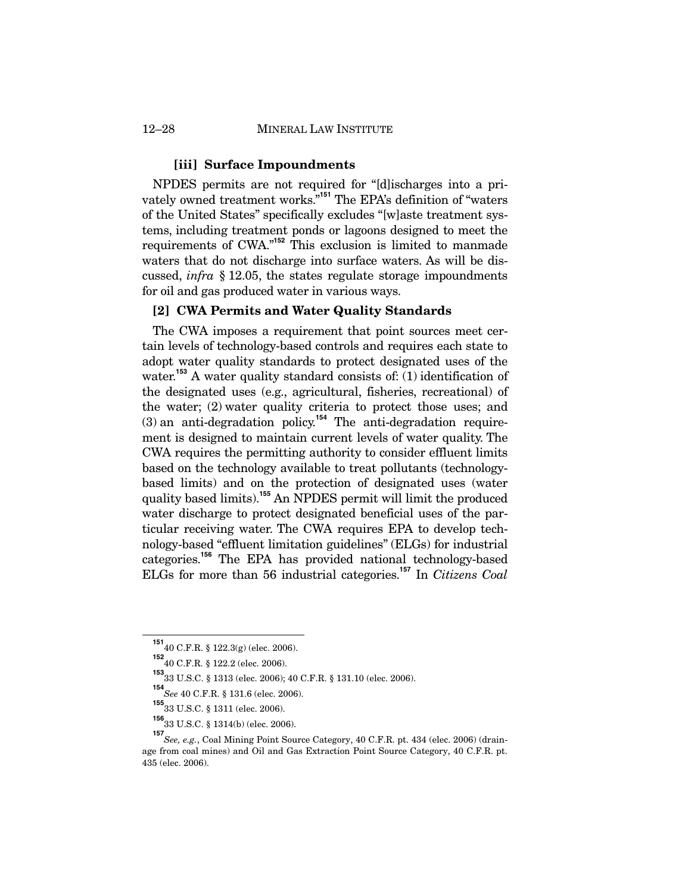### **[iii] Surface Impoundments**

NPDES permits are not required for "[d]ischarges into a privately owned treatment works."**<sup>151</sup>** The EPA's definition of "waters of the United States" specifically excludes "[w]aste treatment systems, including treatment ponds or lagoons designed to meet the requirements of CWA."**<sup>152</sup>** This exclusion is limited to manmade waters that do not discharge into surface waters. As will be discussed, *infra* § 12.05, the states regulate storage impoundments for oil and gas produced water in various ways.

## **[2] CWA Permits and Water Quality Standards**

The CWA imposes a requirement that point sources meet certain levels of technology-based controls and requires each state to adopt water quality standards to protect designated uses of the water.<sup>153</sup> A water quality standard consists of: (1) identification of the designated uses (e.g., agricultural, fisheries, recreational) of the water; (2) water quality criteria to protect those uses; and (3) an anti-degradation policy.**<sup>154</sup>** The anti-degradation requirement is designed to maintain current levels of water quality. The CWA requires the permitting authority to consider effluent limits based on the technology available to treat pollutants (technologybased limits) and on the protection of designated uses (water quality based limits).<sup>155</sup> An NPDES permit will limit the produced water discharge to protect designated beneficial uses of the particular receiving water. The CWA requires EPA to develop technology-based "effluent limitation guidelines" (ELGs) for industrial categories.**<sup>156</sup>** The EPA has provided national technology-based ELGs for more than 56 industrial categories.**<sup>157</sup>** In *Citizens Coal* 

**<sup>151</sup>** 40 C.F.R. § 122.3(g) (elec. 2006).

**<sup>152</sup>** 40 C.F.R. § 122.2 (elec. 2006).

**<sup>153</sup>** 33 U.S.C. § 1313 (elec. 2006); 40 C.F.R. § 131.10 (elec. 2006).

**<sup>154</sup>** *See* 40 C.F.R. § 131.6 (elec. 2006).

**<sup>155</sup>** 33 U.S.C. § 1311 (elec. 2006).

**<sup>156</sup>** 33 U.S.C. § 1314(b) (elec. 2006).

**<sup>157</sup>** *See, e.g.*, Coal Mining Point Source Category, 40 C.F.R. pt. 434 (elec. 2006) (drainage from coal mines) and Oil and Gas Extraction Point Source Category, 40 C.F.R. pt. 435 (elec. 2006).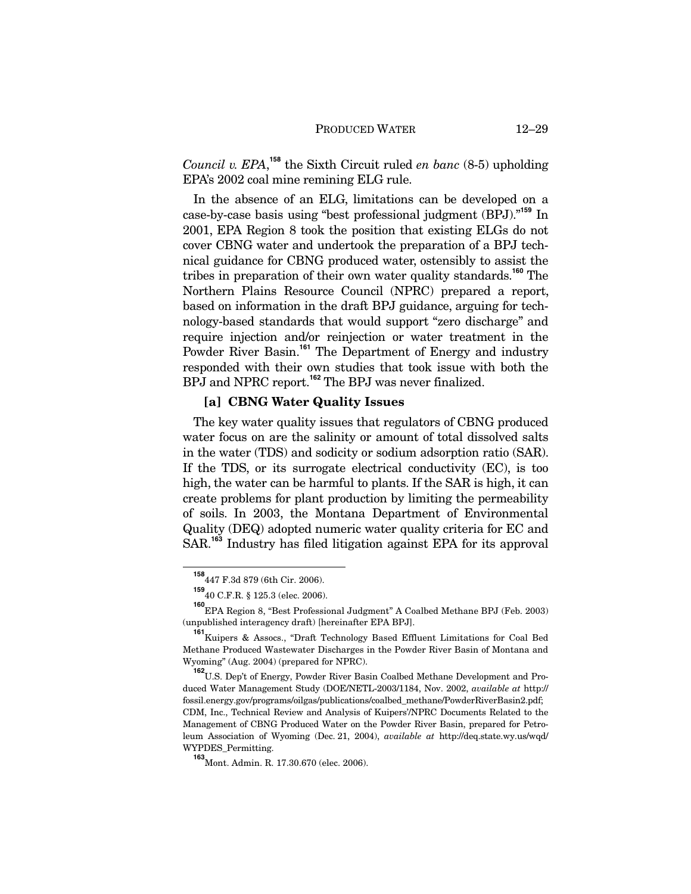*Council v. EPA*, **<sup>158</sup>** the Sixth Circuit ruled *en banc* (8-5) upholding EPA's 2002 coal mine remining ELG rule.

In the absence of an ELG, limitations can be developed on a case-by-case basis using "best professional judgment (BPJ)."**<sup>159</sup>** In 2001, EPA Region 8 took the position that existing ELGs do not cover CBNG water and undertook the preparation of a BPJ technical guidance for CBNG produced water, ostensibly to assist the tribes in preparation of their own water quality standards.**<sup>160</sup>** The Northern Plains Resource Council (NPRC) prepared a report, based on information in the draft BPJ guidance, arguing for technology-based standards that would support "zero discharge" and require injection and/or reinjection or water treatment in the Powder River Basin.<sup>161</sup> The Department of Energy and industry responded with their own studies that took issue with both the BPJ and NPRC report.<sup>162</sup> The BPJ was never finalized.

## **[a] CBNG Water Quality Issues**

The key water quality issues that regulators of CBNG produced water focus on are the salinity or amount of total dissolved salts in the water (TDS) and sodicity or sodium adsorption ratio (SAR). If the TDS, or its surrogate electrical conductivity (EC), is too high, the water can be harmful to plants. If the SAR is high, it can create problems for plant production by limiting the permeability of soils. In 2003, the Montana Department of Environmental Quality (DEQ) adopted numeric water quality criteria for EC and SAR.**<sup>163</sup>** Industry has filed litigation against EPA for its approval

**<sup>158</sup>** 447 F.3d 879 (6th Cir. 2006).

**<sup>159</sup>** 40 C.F.R. § 125.3 (elec. 2006).

**<sup>160</sup>** EPA Region 8, "Best Professional Judgment" A Coalbed Methane BPJ (Feb. 2003) (unpublished interagency draft) [hereinafter EPA BPJ].

**<sup>161</sup>** Kuipers & Assocs., "Draft Technology Based Effluent Limitations for Coal Bed Methane Produced Wastewater Discharges in the Powder River Basin of Montana and Wyoming" (Aug. 2004) (prepared for NPRC).

**<sup>162</sup>** U.S. Dep't of Energy, Powder River Basin Coalbed Methane Development and Produced Water Management Study (DOE/NETL-2003/1184, Nov. 2002, *available at* http:// fossil.energy.gov/programs/oilgas/publications/coalbed\_methane/PowderRiverBasin2.pdf; CDM, Inc., Technical Review and Analysis of Kuipers'/NPRC Documents Related to the Management of CBNG Produced Water on the Powder River Basin, prepared for Petroleum Association of Wyoming (Dec. 21, 2004), *available at* http://deq.state.wy.us/wqd/ WYPDES\_Permitting.

**<sup>163</sup>**Mont. Admin. R. 17.30.670 (elec. 2006).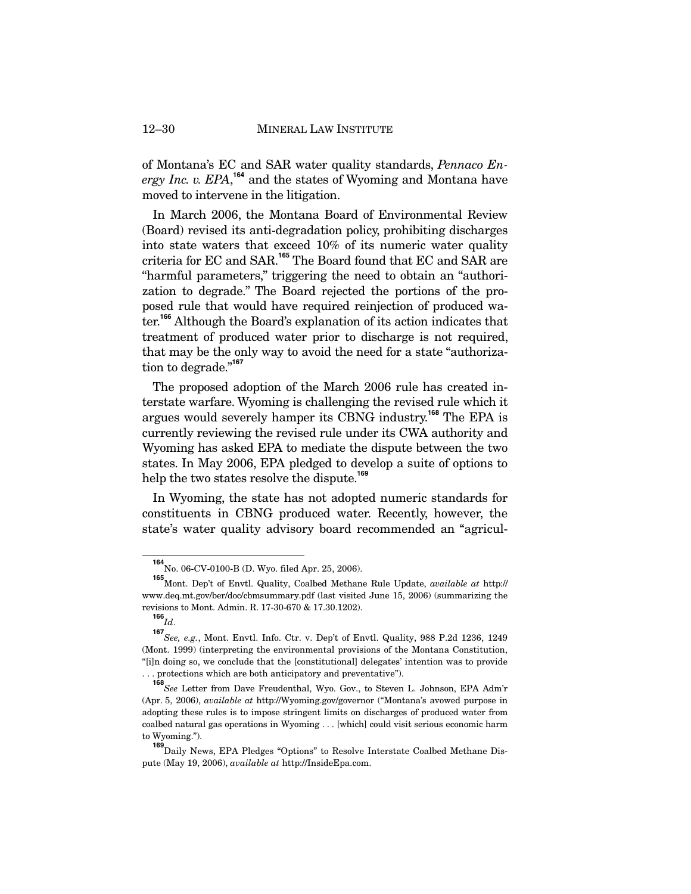of Montana's EC and SAR water quality standards, *Pennaco En*ergy Inc. v. EPA,<sup>164</sup> and the states of Wyoming and Montana have moved to intervene in the litigation.

In March 2006, the Montana Board of Environmental Review (Board) revised its anti-degradation policy, prohibiting discharges into state waters that exceed 10% of its numeric water quality criteria for EC and SAR.**<sup>165</sup>** The Board found that EC and SAR are "harmful parameters," triggering the need to obtain an "authorization to degrade." The Board rejected the portions of the proposed rule that would have required reinjection of produced water.**<sup>166</sup>** Although the Board's explanation of its action indicates that treatment of produced water prior to discharge is not required, that may be the only way to avoid the need for a state "authorization to degrade."**<sup>167</sup>**

The proposed adoption of the March 2006 rule has created interstate warfare. Wyoming is challenging the revised rule which it argues would severely hamper its CBNG industry.**<sup>168</sup>** The EPA is currently reviewing the revised rule under its CWA authority and Wyoming has asked EPA to mediate the dispute between the two states. In May 2006, EPA pledged to develop a suite of options to help the two states resolve the dispute.**<sup>169</sup>**

In Wyoming, the state has not adopted numeric standards for constituents in CBNG produced water. Recently, however, the state's water quality advisory board recommended an "agricul-

**<sup>164</sup>** No. 06-CV-0100-B (D. Wyo. filed Apr. 25, 2006).

**<sup>165</sup>** Mont. Dep't of Envtl. Quality, Coalbed Methane Rule Update, *available at* http:// www.deq.mt.gov/ber/doc/cbmsummary.pdf (last visited June 15, 2006) (summarizing the revisions to Mont. Admin. R. 17-30-670 & 17.30.1202).

**<sup>166</sup>** *Id*.

**<sup>167</sup>** *See, e.g.*, Mont. Envtl. Info. Ctr. v. Dep't of Envtl. Quality, 988 P.2d 1236, 1249 (Mont. 1999) (interpreting the environmental provisions of the Montana Constitution, "[i]n doing so, we conclude that the [constitutional] delegates' intention was to provide . . . protections which are both anticipatory and preventative").

**<sup>168</sup>** *See* Letter from Dave Freudenthal, Wyo. Gov., to Steven L. Johnson, EPA Adm'r (Apr. 5, 2006), *available at* http://Wyoming.gov/governor ("Montana's avowed purpose in adopting these rules is to impose stringent limits on discharges of produced water from coalbed natural gas operations in Wyoming . . . [which] could visit serious economic harm to Wyoming.").

**<sup>169</sup>** Daily News, EPA Pledges "Options" to Resolve Interstate Coalbed Methane Dispute (May 19, 2006), *available at* http://InsideEpa.com.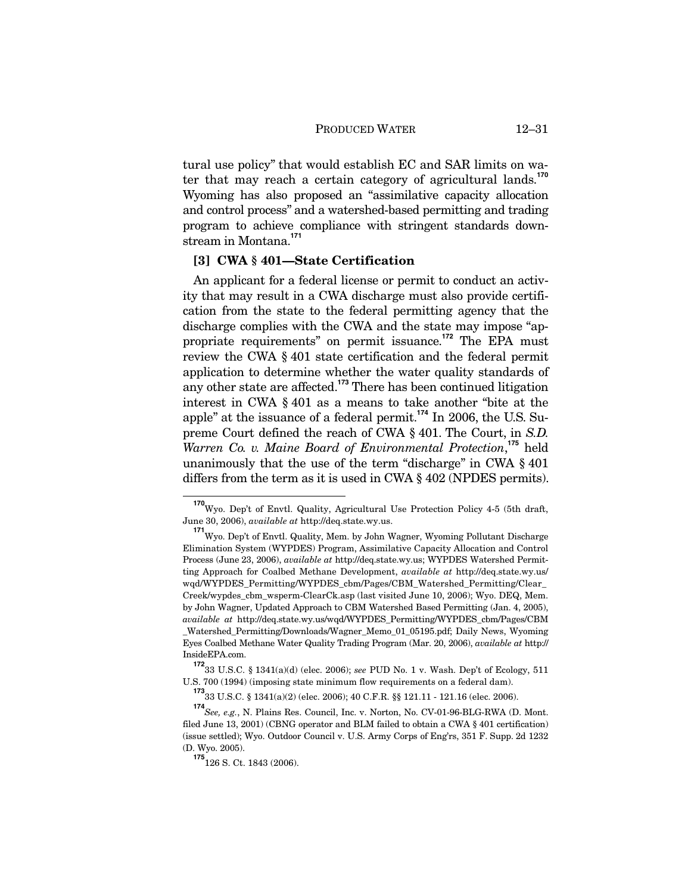tural use policy" that would establish EC and SAR limits on water that may reach a certain category of agricultural lands.**<sup>170</sup>** Wyoming has also proposed an "assimilative capacity allocation and control process" and a watershed-based permitting and trading program to achieve compliance with stringent standards downstream in Montana.**<sup>171</sup>**

## **[3] CWA § 401—State Certification**

An applicant for a federal license or permit to conduct an activity that may result in a CWA discharge must also provide certification from the state to the federal permitting agency that the discharge complies with the CWA and the state may impose "appropriate requirements" on permit issuance.**<sup>172</sup>** The EPA must review the CWA § 401 state certification and the federal permit application to determine whether the water quality standards of any other state are affected.**<sup>173</sup>** There has been continued litigation interest in CWA § 401 as a means to take another "bite at the apple" at the issuance of a federal permit.**<sup>174</sup>** In 2006, the U.S. Supreme Court defined the reach of CWA § 401. The Court, in *S.D.*  Warren Co. v. Maine Board of Environmental Protection,<sup>175</sup> held unanimously that the use of the term "discharge" in CWA § 401 differs from the term as it is used in CWA § 402 (NPDES permits).

**<sup>170</sup>** Wyo. Dep't of Envtl. Quality, Agricultural Use Protection Policy 4-5 (5th draft, June 30, 2006), *available at* http://deq.state.wy.us.

**<sup>171</sup>** Wyo. Dep't of Envtl. Quality, Mem. by John Wagner, Wyoming Pollutant Discharge Elimination System (WYPDES) Program, Assimilative Capacity Allocation and Control Process (June 23, 2006), *available at* http://deq.state.wy.us; WYPDES Watershed Permitting Approach for Coalbed Methane Development, *available at* http://deq.state.wy.us/ wqd/WYPDES\_Permitting/WYPDES\_cbm/Pages/CBM\_Watershed\_Permitting/Clear\_ Creek/wypdes\_cbm\_wsperm-ClearCk.asp (last visited June 10, 2006); Wyo. DEQ, Mem. by John Wagner, Updated Approach to CBM Watershed Based Permitting (Jan. 4, 2005), *available at* http://deq.state.wy.us/wqd/WYPDES\_Permitting/WYPDES\_cbm/Pages/CBM \_Watershed\_Permitting/Downloads/Wagner\_Memo\_01\_05195.pdf; Daily News, Wyoming Eyes Coalbed Methane Water Quality Trading Program (Mar. 20, 2006), *available at* http:// InsideEPA.com.

**<sup>172</sup>** 33 U.S.C. § 1341(a)(d) (elec. 2006); *see* PUD No. 1 v. Wash. Dep't of Ecology, 511 U.S. 700 (1994) (imposing state minimum flow requirements on a federal dam).

**<sup>173</sup>** 33 U.S.C. § 1341(a)(2) (elec. 2006); 40 C.F.R. §§ 121.11 - 121.16 (elec. 2006).

**<sup>174</sup>** *See, e.g.*, N. Plains Res. Council, Inc. v. Norton, No. CV-01-96-BLG-RWA (D. Mont. filed June 13, 2001) (CBNG operator and BLM failed to obtain a CWA § 401 certification) (issue settled); Wyo. Outdoor Council v. U.S. Army Corps of Eng'rs, 351 F. Supp. 2d 1232 (D. Wyo. 2005).

**<sup>175</sup>**126 S. Ct. 1843 (2006).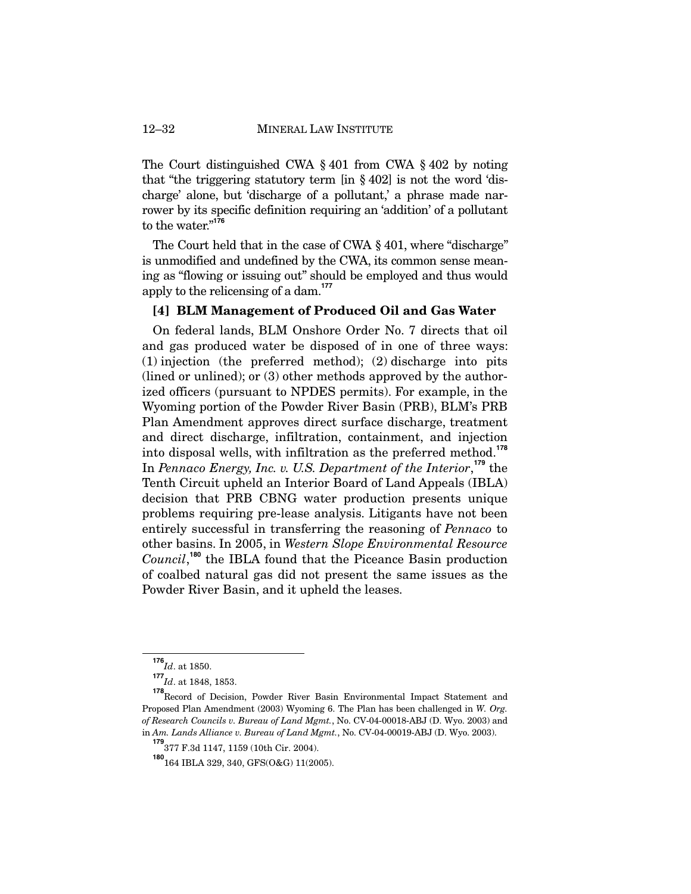The Court distinguished CWA § 401 from CWA § 402 by noting that "the triggering statutory term [in § 402] is not the word 'discharge' alone, but 'discharge of a pollutant,' a phrase made narrower by its specific definition requiring an 'addition' of a pollutant to the water."**<sup>176</sup>**

The Court held that in the case of CWA § 401, where "discharge" is unmodified and undefined by the CWA, its common sense meaning as "flowing or issuing out" should be employed and thus would apply to the relicensing of a dam.**<sup>177</sup>**

## **[4] BLM Management of Produced Oil and Gas Water**

On federal lands, BLM Onshore Order No. 7 directs that oil and gas produced water be disposed of in one of three ways: (1) injection (the preferred method); (2) discharge into pits (lined or unlined); or (3) other methods approved by the authorized officers (pursuant to NPDES permits). For example, in the Wyoming portion of the Powder River Basin (PRB), BLM's PRB Plan Amendment approves direct surface discharge, treatment and direct discharge, infiltration, containment, and injection into disposal wells, with infiltration as the preferred method.**<sup>178</sup>** In *Pennaco Energy, Inc. v. U.S. Department of the Interior*, **<sup>179</sup>** the Tenth Circuit upheld an Interior Board of Land Appeals (IBLA) decision that PRB CBNG water production presents unique problems requiring pre-lease analysis. Litigants have not been entirely successful in transferring the reasoning of *Pennaco* to other basins. In 2005, in *Western Slope Environmental Resource*  Council,<sup>180</sup> the IBLA found that the Piceance Basin production of coalbed natural gas did not present the same issues as the Powder River Basin, and it upheld the leases.

 $\frac{176}{Id}$ . at 1850.

**<sup>177</sup>** *Id*. at 1848, 1853.

**<sup>178</sup>** Record of Decision, Powder River Basin Environmental Impact Statement and Proposed Plan Amendment (2003) Wyoming 6. The Plan has been challenged in *W. Org. of Research Councils v. Bureau of Land Mgmt.*, No. CV-04-00018-ABJ (D. Wyo. 2003) and in *Am. Lands Alliance v. Bureau of Land Mgmt.*, No. CV-04-00019-ABJ (D. Wyo. 2003).

**<sup>179</sup>** 377 F.3d 1147, 1159 (10th Cir. 2004).

**<sup>180</sup>**164 IBLA 329, 340, GFS(O&G) 11(2005).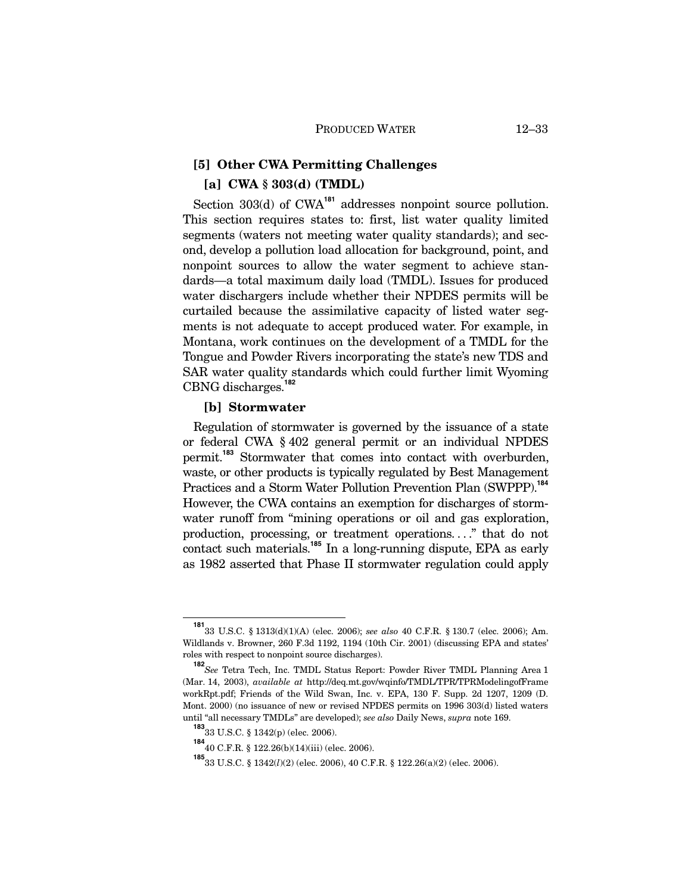## **[5] Other CWA Permitting Challenges [a] CWA § 303(d) (TMDL)**

Section 303(d) of CWA<sup>181</sup> addresses nonpoint source pollution. This section requires states to: first, list water quality limited segments (waters not meeting water quality standards); and second, develop a pollution load allocation for background, point, and nonpoint sources to allow the water segment to achieve standards—a total maximum daily load (TMDL). Issues for produced water dischargers include whether their NPDES permits will be curtailed because the assimilative capacity of listed water segments is not adequate to accept produced water. For example, in Montana, work continues on the development of a TMDL for the Tongue and Powder Rivers incorporating the state's new TDS and SAR water quality standards which could further limit Wyoming CBNG discharges.**<sup>182</sup>**

### **[b] Stormwater**

Regulation of stormwater is governed by the issuance of a state or federal CWA § 402 general permit or an individual NPDES permit.**<sup>183</sup>** Stormwater that comes into contact with overburden, waste, or other products is typically regulated by Best Management Practices and a Storm Water Pollution Prevention Plan (SWPPP).**<sup>184</sup>** However, the CWA contains an exemption for discharges of stormwater runoff from "mining operations or oil and gas exploration, production, processing, or treatment operations. . . ." that do not contact such materials.**<sup>185</sup>** In a long-running dispute, EPA as early as 1982 asserted that Phase II stormwater regulation could apply

**<sup>181</sup>** 33 U.S.C. § 1313(d)(1)(A) (elec. 2006); *see also* 40 C.F.R. § 130.7 (elec. 2006); Am. Wildlands v. Browner, 260 F.3d 1192, 1194 (10th Cir. 2001) (discussing EPA and states' roles with respect to nonpoint source discharges).

**<sup>182</sup>** *See* Tetra Tech, Inc. TMDL Status Report: Powder River TMDL Planning Area 1 (Mar. 14, 2003), *available at* http://deq.mt.gov/wqinfo/TMDL/TPR/TPRModelingofFrame workRpt.pdf; Friends of the Wild Swan, Inc. v. EPA, 130 F. Supp. 2d 1207, 1209 (D. Mont. 2000) (no issuance of new or revised NPDES permits on 1996 303(d) listed waters until "all necessary TMDLs" are developed); *see also* Daily News, *supra* note 169.

**<sup>183</sup>** 33 U.S.C. § 1342(p) (elec. 2006).

**<sup>184</sup>** 40 C.F.R. § 122.26(b)(14)(iii) (elec. 2006).

**<sup>185</sup>**33 U.S.C. § 1342(*l*)(2) (elec. 2006), 40 C.F.R. § 122.26(a)(2) (elec. 2006).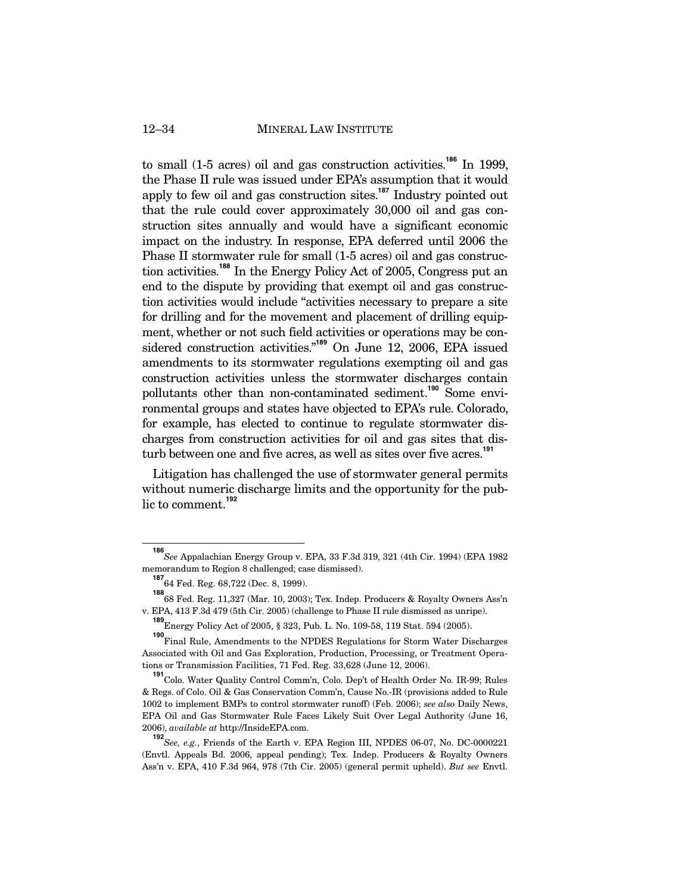### 12–34 MINERAL LAW INSTITUTE

to small (1-5 acres) oil and gas construction activities.**<sup>186</sup>** In 1999, the Phase II rule was issued under EPA's assumption that it would apply to few oil and gas construction sites.**<sup>187</sup>** Industry pointed out that the rule could cover approximately 30,000 oil and gas construction sites annually and would have a significant economic impact on the industry. In response, EPA deferred until 2006 the Phase II stormwater rule for small (1-5 acres) oil and gas construction activities.**<sup>188</sup>** In the Energy Policy Act of 2005, Congress put an end to the dispute by providing that exempt oil and gas construction activities would include "activities necessary to prepare a site for drilling and for the movement and placement of drilling equipment, whether or not such field activities or operations may be considered construction activities."**<sup>189</sup>** On June 12, 2006, EPA issued amendments to its stormwater regulations exempting oil and gas construction activities unless the stormwater discharges contain pollutants other than non-contaminated sediment.**<sup>190</sup>** Some environmental groups and states have objected to EPA's rule. Colorado, for example, has elected to continue to regulate stormwater discharges from construction activities for oil and gas sites that disturb between one and five acres, as well as sites over five acres.**<sup>191</sup>**

Litigation has challenged the use of stormwater general permits without numeric discharge limits and the opportunity for the public to comment.**<sup>192</sup>**

**<sup>186</sup>** *See* Appalachian Energy Group v. EPA, 33 F.3d 319, 321 (4th Cir. 1994) (EPA 1982 memorandum to Region 8 challenged; case dismissed).

**<sup>187</sup>** 64 Fed. Reg. 68,722 (Dec. 8, 1999).

**<sup>188</sup>** 68 Fed. Reg. 11,327 (Mar. 10, 2003); Tex. Indep. Producers & Royalty Owners Ass'n v. EPA, 413 F.3d 479 (5th Cir. 2005) (challenge to Phase II rule dismissed as unripe).

**<sup>189</sup>** Energy Policy Act of 2005, § 323, Pub. L. No. 109-58, 119 Stat. 594 (2005).

**<sup>190</sup>** Final Rule, Amendments to the NPDES Regulations for Storm Water Discharges Associated with Oil and Gas Exploration, Production, Processing, or Treatment Operations or Transmission Facilities, 71 Fed. Reg. 33,628 (June 12, 2006).

**<sup>191</sup>** Colo. Water Quality Control Comm'n, Colo. Dep't of Health Order No. IR-99; Rules & Regs. of Colo. Oil & Gas Conservation Comm'n, Cause No.-IR (provisions added to Rule 1002 to implement BMPs to control stormwater runoff) (Feb. 2006); *see also* Daily News, EPA Oil and Gas Stormwater Rule Faces Likely Suit Over Legal Authority (June 16, 2006), *available at* http://InsideEPA.com.

**<sup>192</sup>***See, e.g.*, Friends of the Earth v. EPA Region III, NPDES 06-07, No. DC-0000221 (Envtl. Appeals Bd. 2006, appeal pending); Tex. Indep. Producers & Royalty Owners Ass'n v. EPA, 410 F.3d 964, 978 (7th Cir. 2005) (general permit upheld). *But see* Envtl.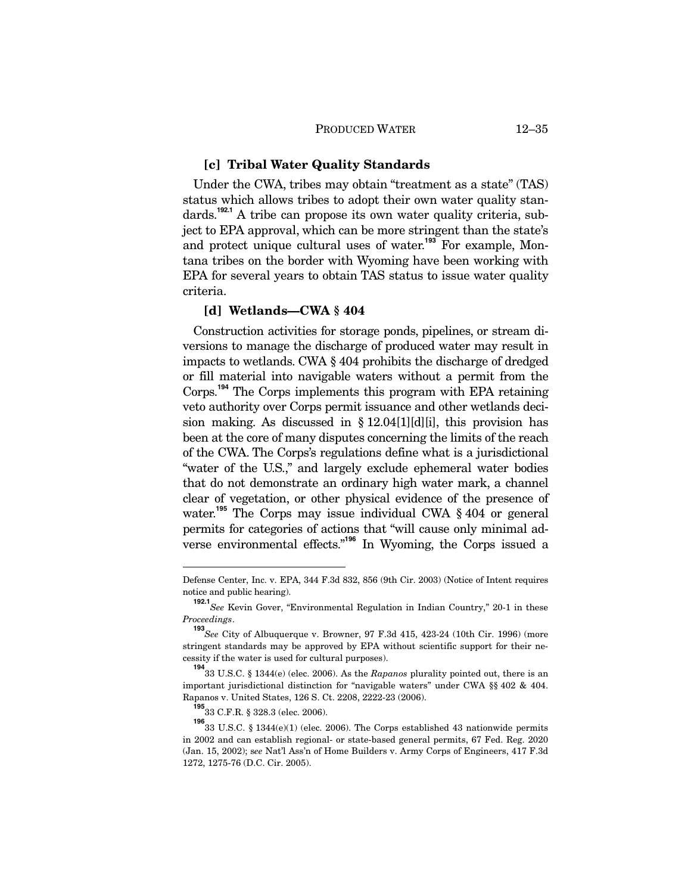### **[c] Tribal Water Quality Standards**

Under the CWA, tribes may obtain "treatment as a state" (TAS) status which allows tribes to adopt their own water quality standards.**192.1** A tribe can propose its own water quality criteria, subject to EPA approval, which can be more stringent than the state's and protect unique cultural uses of water.<sup>193</sup> For example, Montana tribes on the border with Wyoming have been working with EPA for several years to obtain TAS status to issue water quality criteria.

## **[d] Wetlands—CWA § 404**

Construction activities for storage ponds, pipelines, or stream diversions to manage the discharge of produced water may result in impacts to wetlands. CWA § 404 prohibits the discharge of dredged or fill material into navigable waters without a permit from the Corps.**<sup>194</sup>** The Corps implements this program with EPA retaining veto authority over Corps permit issuance and other wetlands decision making. As discussed in § 12.04[1][d][i], this provision has been at the core of many disputes concerning the limits of the reach of the CWA. The Corps's regulations define what is a jurisdictional "water of the U.S.," and largely exclude ephemeral water bodies that do not demonstrate an ordinary high water mark, a channel clear of vegetation, or other physical evidence of the presence of water.<sup>195</sup> The Corps may issue individual CWA § 404 or general permits for categories of actions that "will cause only minimal adverse environmental effects."**<sup>196</sup>** In Wyoming, the Corps issued a

-

Defense Center, Inc. v. EPA, 344 F.3d 832, 856 (9th Cir. 2003) (Notice of Intent requires notice and public hearing).

**<sup>192.1</sup>***See* Kevin Gover, "Environmental Regulation in Indian Country," 20-1 in these *Proceedings*.

**<sup>193</sup>** *See* City of Albuquerque v. Browner, 97 F.3d 415, 423-24 (10th Cir. 1996) (more stringent standards may be approved by EPA without scientific support for their necessity if the water is used for cultural purposes).

**<sup>194</sup>** 33 U.S.C. § 1344(e) (elec. 2006). As the *Rapanos* plurality pointed out, there is an important jurisdictional distinction for "navigable waters" under CWA §§ 402 & 404. Rapanos v. United States, 126 S. Ct. 2208, 2222-23 (2006).

**<sup>195</sup>** 33 C.F.R. § 328.3 (elec. 2006).

**<sup>196</sup>** 33 U.S.C. § 1344(e)(1) (elec. 2006). The Corps established 43 nationwide permits in 2002 and can establish regional- or state-based general permits, 67 Fed. Reg. 2020 (Jan. 15, 2002); s*ee* Nat'l Ass'n of Home Builders v. Army Corps of Engineers, 417 F.3d 1272, 1275-76 (D.C. Cir. 2005).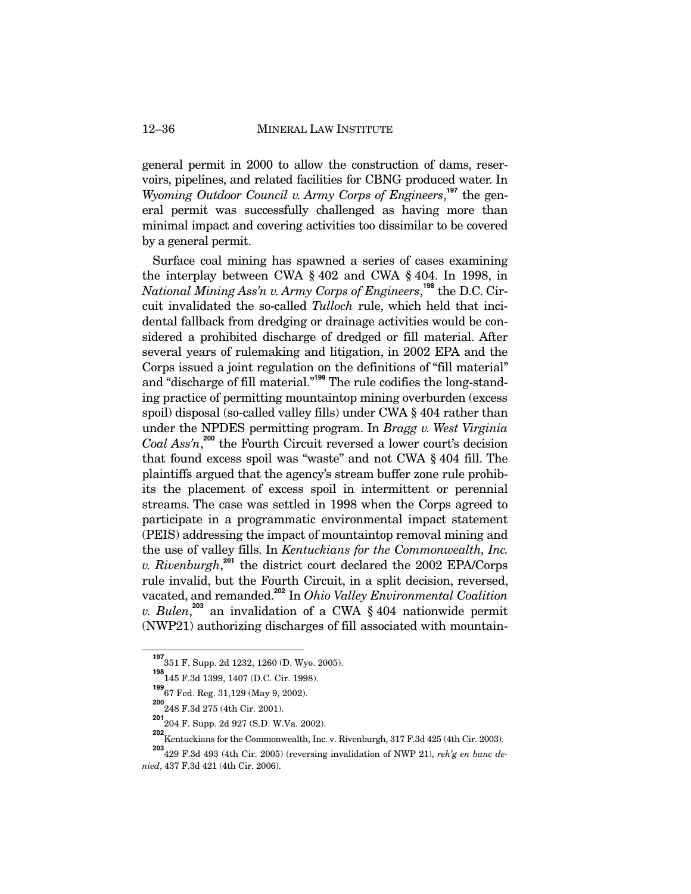general permit in 2000 to allow the construction of dams, reservoirs, pipelines, and related facilities for CBNG produced water. In *Wyoming Outdoor Council v. Army Corps of Engineers*, **<sup>197</sup>** the general permit was successfully challenged as having more than minimal impact and covering activities too dissimilar to be covered by a general permit.

Surface coal mining has spawned a series of cases examining the interplay between CWA § 402 and CWA § 404. In 1998, in *National Mining Ass'n v. Army Corps of Engineers*, **<sup>198</sup>** the D.C. Circuit invalidated the so-called *Tulloch* rule, which held that incidental fallback from dredging or drainage activities would be considered a prohibited discharge of dredged or fill material. After several years of rulemaking and litigation, in 2002 EPA and the Corps issued a joint regulation on the definitions of "fill material" and "discharge of fill material."**<sup>199</sup>** The rule codifies the long-standing practice of permitting mountaintop mining overburden (excess spoil) disposal (so-called valley fills) under CWA § 404 rather than under the NPDES permitting program. In *Bragg v. West Virginia*  Coal Ass'n,<sup>200</sup> the Fourth Circuit reversed a lower court's decision that found excess spoil was "waste" and not CWA § 404 fill. The plaintiffs argued that the agency's stream buffer zone rule prohibits the placement of excess spoil in intermittent or perennial streams. The case was settled in 1998 when the Corps agreed to participate in a programmatic environmental impact statement (PEIS) addressing the impact of mountaintop removal mining and the use of valley fills. In *Kentuckians for the Commonwealth, Inc. v. Rivenburgh*, **<sup>201</sup>** the district court declared the 2002 EPA/Corps rule invalid, but the Fourth Circuit, in a split decision, reversed, vacated, and remanded.**<sup>202</sup>** In *Ohio Valley Environmental Coalition v. Bulen*, **<sup>203</sup>** an invalidation of a CWA § 404 nationwide permit (NWP21) authorizing discharges of fill associated with mountain-

**<sup>197</sup>** 351 F. Supp. 2d 1232, 1260 (D. Wyo. 2005).

**<sup>198</sup>** 145 F.3d 1399, 1407 (D.C. Cir. 1998).

**<sup>199</sup>** 67 Fed. Reg. 31,129 (May 9, 2002).

**<sup>200</sup>** 248 F.3d 275 (4th Cir. 2001).

**<sup>201</sup>** 204 F. Supp. 2d 927 (S.D. W.Va. 2002).

**<sup>202</sup>** Kentuckians for the Commonwealth, Inc. v. Rivenburgh, 317 F.3d 425 (4th Cir. 2003).

**<sup>203</sup>** 429 F.3d 493 (4th Cir. 2005) (reversing invalidation of NWP 21), *reh'g en banc denied*, 437 F.3d 421 (4th Cir. 2006).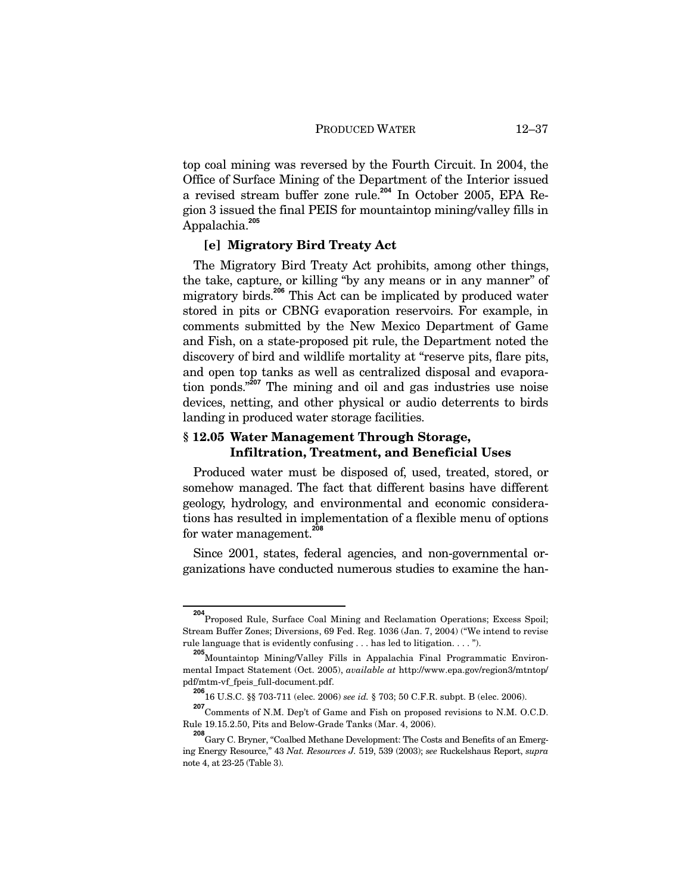top coal mining was reversed by the Fourth Circuit. In 2004, the Office of Surface Mining of the Department of the Interior issued a revised stream buffer zone rule.**<sup>204</sup>** In October 2005, EPA Region 3 issued the final PEIS for mountaintop mining/valley fills in Appalachia.**<sup>205</sup>**

## **[e] Migratory Bird Treaty Act**

The Migratory Bird Treaty Act prohibits, among other things, the take, capture, or killing "by any means or in any manner" of migratory birds.**<sup>206</sup>** This Act can be implicated by produced water stored in pits or CBNG evaporation reservoirs. For example, in comments submitted by the New Mexico Department of Game and Fish, on a state-proposed pit rule, the Department noted the discovery of bird and wildlife mortality at "reserve pits, flare pits, and open top tanks as well as centralized disposal and evaporation ponds."**<sup>207</sup>** The mining and oil and gas industries use noise devices, netting, and other physical or audio deterrents to birds landing in produced water storage facilities.

## **§ 12.05 Water Management Through Storage, Infiltration, Treatment, and Beneficial Uses**

Produced water must be disposed of, used, treated, stored, or somehow managed. The fact that different basins have different geology, hydrology, and environmental and economic considerations has resulted in implementation of a flexible menu of options for water management.**<sup>208</sup>**

Since 2001, states, federal agencies, and non-governmental organizations have conducted numerous studies to examine the han-

<sup>&</sup>lt;sup>204</sup><br>Proposed Rule, Surface Coal Mining and Reclamation Operations; Excess Spoil; Stream Buffer Zones; Diversions, 69 Fed. Reg. 1036 (Jan. 7, 2004) ("We intend to revise rule language that is evidently confusing . . . has led to litigation. . . . ").

**<sup>205</sup>** Mountaintop Mining/Valley Fills in Appalachia Final Programmatic Environmental Impact Statement (Oct. 2005), *available at* http://www.epa.gov/region3/mtntop/ pdf/mtm-vf\_fpeis\_full-document.pdf.

**<sup>206</sup>** 16 U.S.C. §§ 703-711 (elec. 2006) *see id.* § 703; 50 C.F.R. subpt. B (elec. 2006).

**<sup>207</sup>** Comments of N.M. Dep't of Game and Fish on proposed revisions to N.M. O.C.D. Rule 19.15.2.50, Pits and Below-Grade Tanks (Mar. 4, 2006).

**<sup>208</sup>** Gary C. Bryner, "Coalbed Methane Development: The Costs and Benefits of an Emerging Energy Resource," 43 *Nat. Resources J.* 519, 539 (2003); *see* Ruckelshaus Report, *supra* note 4, at 23-25 (Table 3).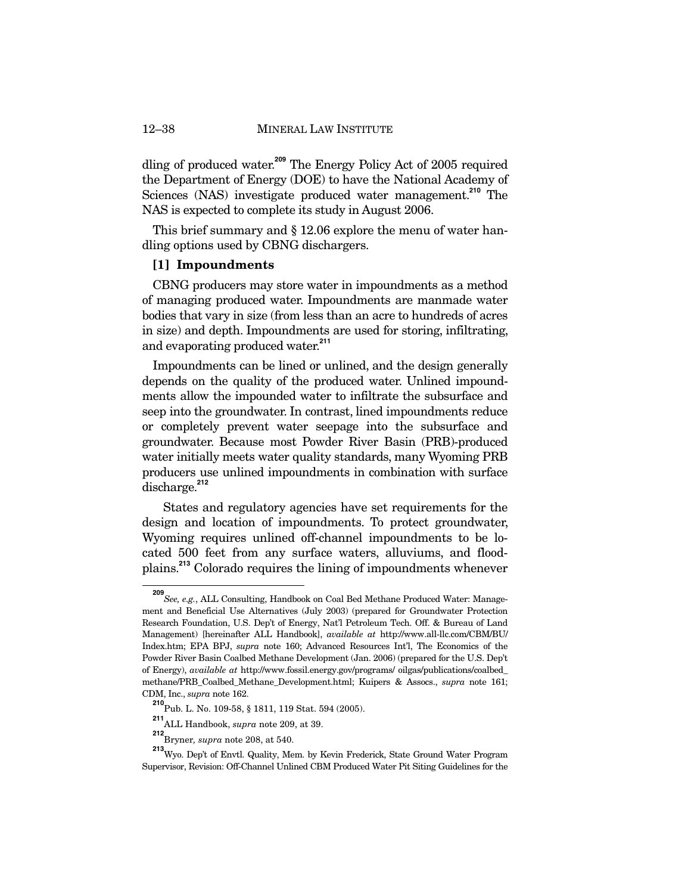dling of produced water.**<sup>209</sup>** The Energy Policy Act of 2005 required the Department of Energy (DOE) to have the National Academy of Sciences (NAS) investigate produced water management.**<sup>210</sup>** The NAS is expected to complete its study in August 2006.

This brief summary and  $\S 12.06$  explore the menu of water handling options used by CBNG dischargers.

## **[1] Impoundments**

CBNG producers may store water in impoundments as a method of managing produced water. Impoundments are manmade water bodies that vary in size (from less than an acre to hundreds of acres in size) and depth. Impoundments are used for storing, infiltrating, and evaporating produced water.**<sup>211</sup>**

Impoundments can be lined or unlined, and the design generally depends on the quality of the produced water. Unlined impoundments allow the impounded water to infiltrate the subsurface and seep into the groundwater. In contrast, lined impoundments reduce or completely prevent water seepage into the subsurface and groundwater. Because most Powder River Basin (PRB)-produced water initially meets water quality standards, many Wyoming PRB producers use unlined impoundments in combination with surface discharge.**<sup>212</sup>**

 States and regulatory agencies have set requirements for the design and location of impoundments. To protect groundwater, Wyoming requires unlined off-channel impoundments to be located 500 feet from any surface waters, alluviums, and floodplains.**<sup>213</sup>** Colorado requires the lining of impoundments whenever

**<sup>209</sup>** *See, e.g.*, ALL Consulting, Handbook on Coal Bed Methane Produced Water: Management and Beneficial Use Alternatives (July 2003) (prepared for Groundwater Protection Research Foundation, U.S. Dep't of Energy, Nat'l Petroleum Tech. Off. & Bureau of Land Management) [hereinafter ALL Handbook], *available at* http://www.all-llc.com/CBM/BU/ Index.htm; EPA BPJ, *supra* note 160; Advanced Resources Int'l, The Economics of the Powder River Basin Coalbed Methane Development (Jan. 2006) (prepared for the U.S. Dep't of Energy), *available at* http://www.fossil.energy.gov/programs/ oilgas/publications/coalbed\_ methane/PRB\_Coalbed\_Methane\_Development.html; Kuipers & Assocs., *supra* note 161; CDM, Inc., *supra* note 162.

**<sup>210</sup>** Pub. L. No. 109-58, § 1811, 119 Stat. 594 (2005).

**<sup>211</sup>** ALL Handbook, *supra* note 209, at 39.

**<sup>212</sup>** Bryner*, supra* note 208, at 540.

**<sup>213</sup>**Wyo. Dep't of Envtl. Quality, Mem. by Kevin Frederick, State Ground Water Program Supervisor, Revision: Off-Channel Unlined CBM Produced Water Pit Siting Guidelines for the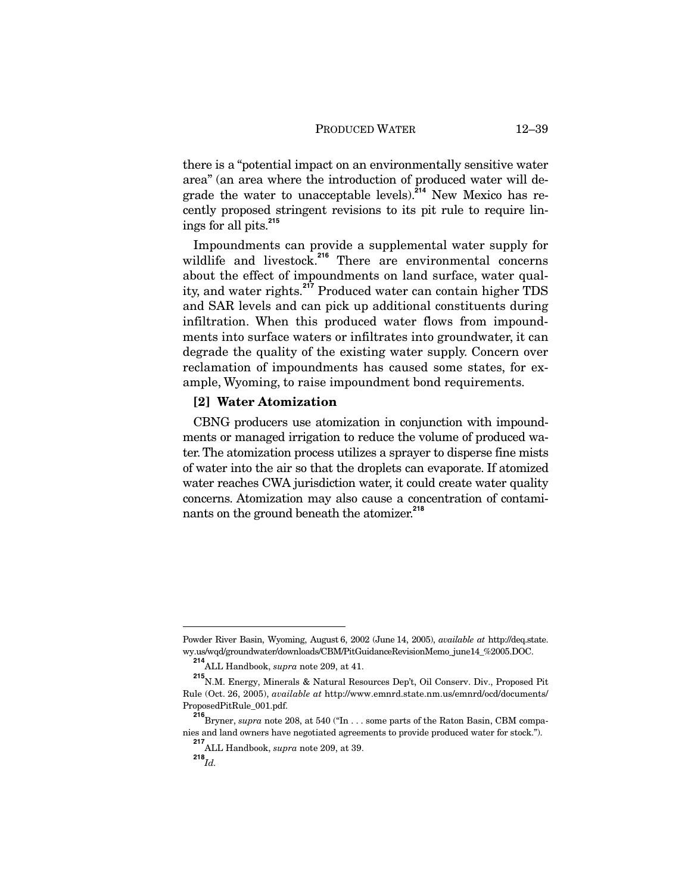there is a "potential impact on an environmentally sensitive water area" (an area where the introduction of produced water will degrade the water to unacceptable levels).**<sup>214</sup>** New Mexico has recently proposed stringent revisions to its pit rule to require linings for all pits.**<sup>215</sup>**

Impoundments can provide a supplemental water supply for wildlife and livestock.<sup>216</sup> There are environmental concerns about the effect of impoundments on land surface, water quality, and water rights.**<sup>217</sup>** Produced water can contain higher TDS and SAR levels and can pick up additional constituents during infiltration. When this produced water flows from impoundments into surface waters or infiltrates into groundwater, it can degrade the quality of the existing water supply. Concern over reclamation of impoundments has caused some states, for example, Wyoming, to raise impoundment bond requirements.

### **[2] Water Atomization**

CBNG producers use atomization in conjunction with impoundments or managed irrigation to reduce the volume of produced water. The atomization process utilizes a sprayer to disperse fine mists of water into the air so that the droplets can evaporate. If atomized water reaches CWA jurisdiction water, it could create water quality concerns. Atomization may also cause a concentration of contaminants on the ground beneath the atomizer.**<sup>218</sup>**

-

Powder River Basin, Wyoming, August 6, 2002 (June 14, 2005), *available at* http://deq.state. wy.us/wqd/groundwater/downloads/CBM/PitGuidanceRevisionMemo\_june14\_%2005.DOC.

**<sup>214</sup>** ALL Handbook, *supra* note 209, at 41.

**<sup>215</sup>** N.M. Energy, Minerals & Natural Resources Dep't, Oil Conserv. Div., Proposed Pit Rule (Oct. 26, 2005), *available at* http://www.emnrd.state.nm.us/emnrd/ocd/documents/ ProposedPitRule\_001.pdf.

**<sup>216</sup>** Bryner, *supra* note 208, at 540 ("In . . . some parts of the Raton Basin, CBM companies and land owners have negotiated agreements to provide produced water for stock.").

**<sup>217</sup>** ALL Handbook, *supra* note 209, at 39.

 $^{218}$ *Id.*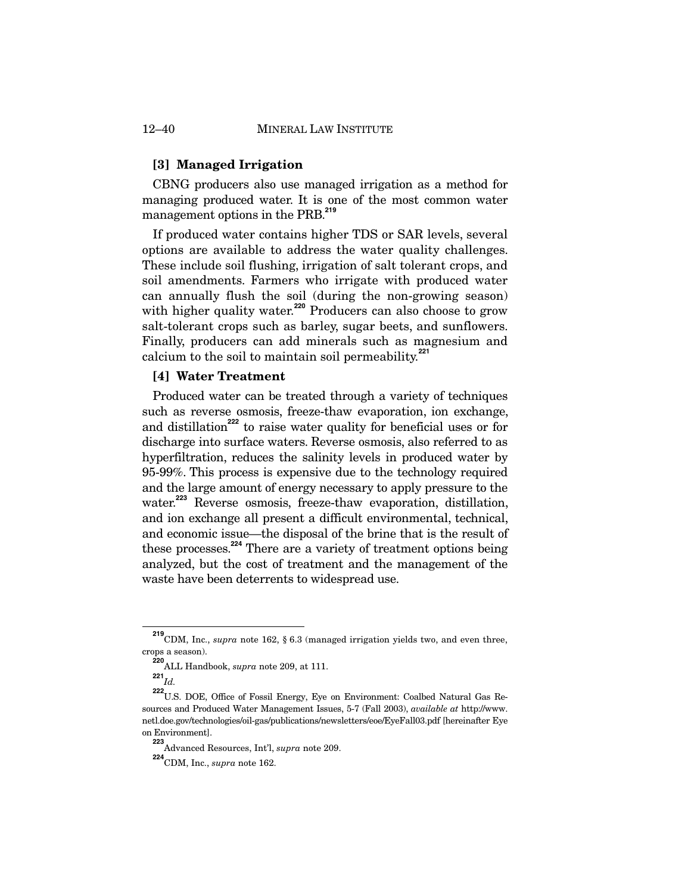## **[3] Managed Irrigation**

CBNG producers also use managed irrigation as a method for managing produced water. It is one of the most common water management options in the PRB.**<sup>219</sup>**

If produced water contains higher TDS or SAR levels, several options are available to address the water quality challenges. These include soil flushing, irrigation of salt tolerant crops, and soil amendments. Farmers who irrigate with produced water can annually flush the soil (during the non-growing season) with higher quality water.<sup>220</sup> Producers can also choose to grow salt-tolerant crops such as barley, sugar beets, and sunflowers. Finally, producers can add minerals such as magnesium and calcium to the soil to maintain soil permeability.**<sup>221</sup>**

## **[4] Water Treatment**

Produced water can be treated through a variety of techniques such as reverse osmosis, freeze-thaw evaporation, ion exchange, and distillation**<sup>222</sup>** to raise water quality for beneficial uses or for discharge into surface waters. Reverse osmosis, also referred to as hyperfiltration, reduces the salinity levels in produced water by 95-99%. This process is expensive due to the technology required and the large amount of energy necessary to apply pressure to the water.<sup>223</sup> Reverse osmosis, freeze-thaw evaporation, distillation, and ion exchange all present a difficult environmental, technical, and economic issue—the disposal of the brine that is the result of these processes.**<sup>224</sup>** There are a variety of treatment options being analyzed, but the cost of treatment and the management of the waste have been deterrents to widespread use.

<sup>&</sup>lt;sup>219</sup> CDM, Inc., *supra* note 162, § 6.3 (managed irrigation yields two, and even three, crops a season).

**<sup>220</sup>** ALL Handbook, *supra* note 209, at 111.

**<sup>221</sup>** *Id.*

**<sup>222</sup>** U.S. DOE, Office of Fossil Energy, Eye on Environment: Coalbed Natural Gas Resources and Produced Water Management Issues, 5-7 (Fall 2003), *available at* http://www. netl.doe.gov/technologies/oil-gas/publications/newsletters/eoe/EyeFall03.pdf [hereinafter Eye on Environment].

**<sup>223</sup>** Advanced Resources, Int'l, *supra* note 209.

**<sup>224</sup>**CDM, Inc., *supra* note 162.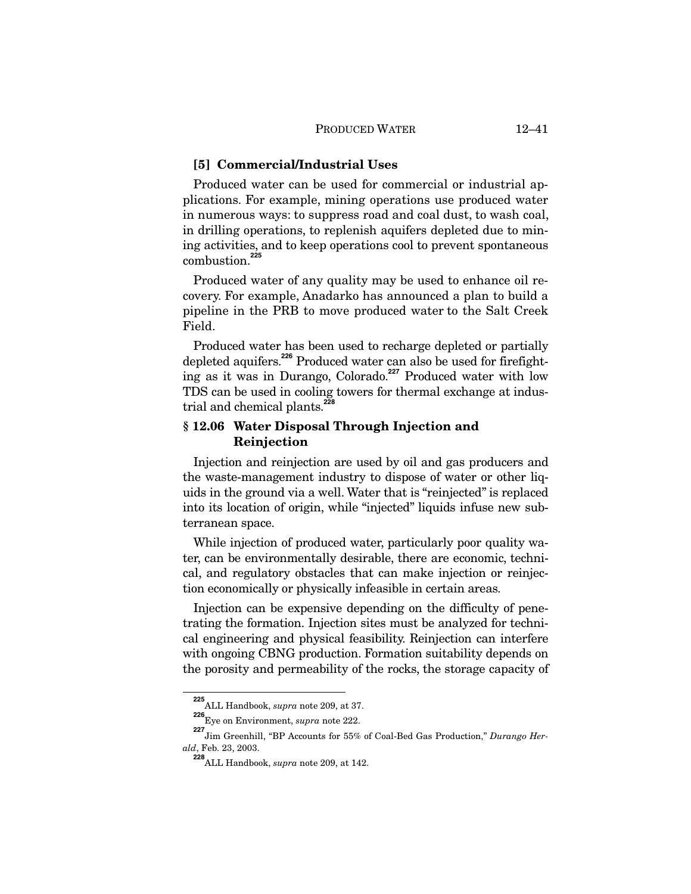### **[5] Commercial/Industrial Uses**

Produced water can be used for commercial or industrial applications. For example, mining operations use produced water in numerous ways: to suppress road and coal dust, to wash coal, in drilling operations, to replenish aquifers depleted due to mining activities, and to keep operations cool to prevent spontaneous combustion.**<sup>225</sup>**

Produced water of any quality may be used to enhance oil recovery. For example, Anadarko has announced a plan to build a pipeline in the PRB to move produced water to the Salt Creek Field.

Produced water has been used to recharge depleted or partially depleted aquifers.**<sup>226</sup>** Produced water can also be used for firefighting as it was in Durango, Colorado.**<sup>227</sup>** Produced water with low TDS can be used in cooling towers for thermal exchange at industrial and chemical plants.**<sup>228</sup>**

## **§ 12.06 Water Disposal Through Injection and Reinjection**

Injection and reinjection are used by oil and gas producers and the waste-management industry to dispose of water or other liquids in the ground via a well. Water that is "reinjected" is replaced into its location of origin, while "injected" liquids infuse new subterranean space.

While injection of produced water, particularly poor quality water, can be environmentally desirable, there are economic, technical, and regulatory obstacles that can make injection or reinjection economically or physically infeasible in certain areas.

Injection can be expensive depending on the difficulty of penetrating the formation. Injection sites must be analyzed for technical engineering and physical feasibility. Reinjection can interfere with ongoing CBNG production. Formation suitability depends on the porosity and permeability of the rocks, the storage capacity of

**<sup>225</sup>** ALL Handbook, *supra* note 209, at 37.

**<sup>226</sup>** Eye on Environment, *supra* note 222.

**<sup>227</sup>** Jim Greenhill, "BP Accounts for 55% of Coal-Bed Gas Production," *Durango Herald*, Feb. 23, 2003.

**<sup>228</sup>**ALL Handbook, *supra* note 209, at 142.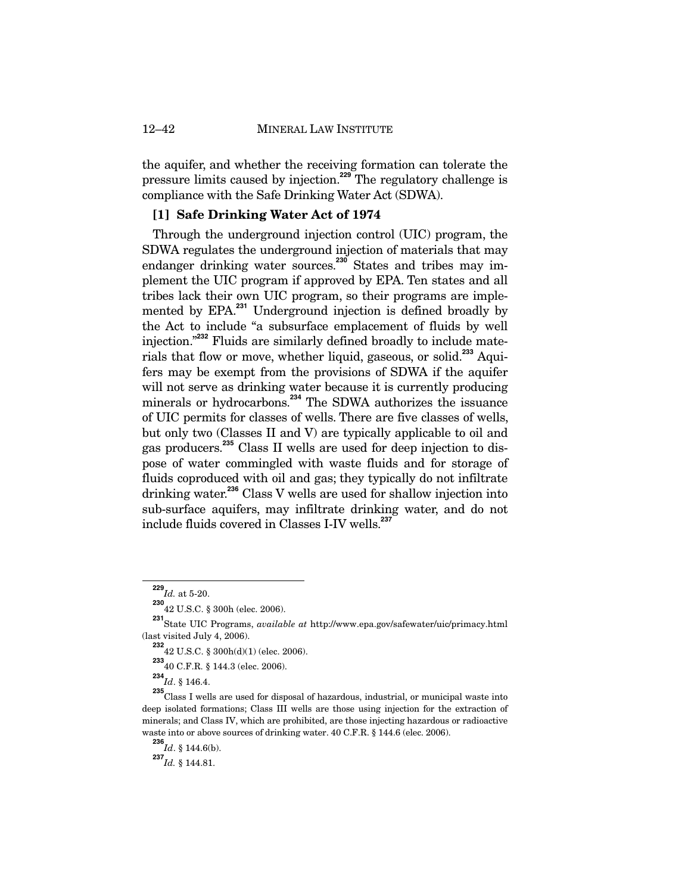the aquifer, and whether the receiving formation can tolerate the pressure limits caused by injection.**<sup>229</sup>** The regulatory challenge is compliance with the Safe Drinking Water Act (SDWA).

### **[1] Safe Drinking Water Act of 1974**

Through the underground injection control (UIC) program, the SDWA regulates the underground injection of materials that may endanger drinking water sources.<sup>230</sup> States and tribes may implement the UIC program if approved by EPA. Ten states and all tribes lack their own UIC program, so their programs are implemented by EPA.**<sup>231</sup>** Underground injection is defined broadly by the Act to include "a subsurface emplacement of fluids by well injection."**<sup>232</sup>** Fluids are similarly defined broadly to include materials that flow or move, whether liquid, gaseous, or solid.**<sup>233</sup>** Aquifers may be exempt from the provisions of SDWA if the aquifer will not serve as drinking water because it is currently producing minerals or hydrocarbons.**<sup>234</sup>** The SDWA authorizes the issuance of UIC permits for classes of wells. There are five classes of wells, but only two (Classes II and V) are typically applicable to oil and gas producers.**<sup>235</sup>** Class II wells are used for deep injection to dispose of water commingled with waste fluids and for storage of fluids coproduced with oil and gas; they typically do not infiltrate drinking water.**<sup>236</sup>** Class V wells are used for shallow injection into sub-surface aquifers, may infiltrate drinking water, and do not include fluids covered in Classes I-IV wells.**<sup>237</sup>**

**233** 40 C.F.R. § 144.3 (elec. 2006).

**234** *Id*. § 146.4.

 $\frac{229}{Id}$ . at 5-20.

**<sup>230</sup>** 42 U.S.C. § 300h (elec. 2006).

**<sup>231</sup>** State UIC Programs, *available at* http://www.epa.gov/safewater/uic/primacy.html (last visited July 4, 2006).

**<sup>232</sup>** 42 U.S.C. § 300h(d)(1) (elec. 2006).

**<sup>235</sup>** Class I wells are used for disposal of hazardous, industrial, or municipal waste into deep isolated formations; Class III wells are those using injection for the extraction of minerals; and Class IV, which are prohibited, are those injecting hazardous or radioactive waste into or above sources of drinking water. 40 C.F.R. § 144.6 (elec. 2006).

**<sup>236</sup>** *Id*. § 144.6(b).

**<sup>237</sup>***Id.* § 144.81.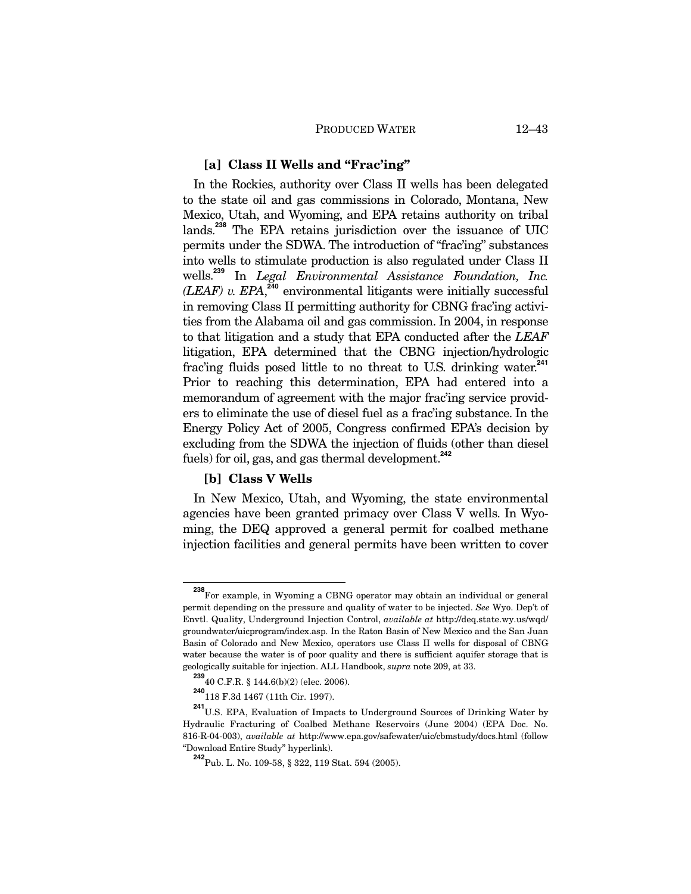## **[a] Class II Wells and "Frac'ing"**

In the Rockies, authority over Class II wells has been delegated to the state oil and gas commissions in Colorado, Montana, New Mexico, Utah, and Wyoming, and EPA retains authority on tribal lands.**<sup>238</sup>** The EPA retains jurisdiction over the issuance of UIC permits under the SDWA. The introduction of "frac'ing" substances into wells to stimulate production is also regulated under Class II wells.**<sup>239</sup>** In *Legal Environmental Assistance Foundation, Inc.*  $(LEAF)$  v.  $EPA$ <sup>240</sup> environmental litigants were initially successful in removing Class II permitting authority for CBNG frac'ing activities from the Alabama oil and gas commission. In 2004, in response to that litigation and a study that EPA conducted after the *LEAF* litigation, EPA determined that the CBNG injection/hydrologic frac'ing fluids posed little to no threat to U.S. drinking water.**<sup>241</sup>** Prior to reaching this determination, EPA had entered into a memorandum of agreement with the major frac'ing service providers to eliminate the use of diesel fuel as a frac'ing substance. In the Energy Policy Act of 2005, Congress confirmed EPA's decision by excluding from the SDWA the injection of fluids (other than diesel fuels) for oil, gas, and gas thermal development.**<sup>242</sup>**

## **[b] Class V Wells**

In New Mexico, Utah, and Wyoming, the state environmental agencies have been granted primacy over Class V wells. In Wyoming, the DEQ approved a general permit for coalbed methane injection facilities and general permits have been written to cover

<sup>&</sup>lt;sup>238</sup> For example, in Wyoming a CBNG operator may obtain an individual or general permit depending on the pressure and quality of water to be injected. *See* Wyo. Dep't of Envtl. Quality, Underground Injection Control, *available at* http://deq.state.wy.us/wqd/ groundwater/uicprogram/index.asp. In the Raton Basin of New Mexico and the San Juan Basin of Colorado and New Mexico, operators use Class II wells for disposal of CBNG water because the water is of poor quality and there is sufficient aquifer storage that is geologically suitable for injection. ALL Handbook, *supra* note 209, at 33.

**<sup>239</sup>** 40 C.F.R. § 144.6(b)(2) (elec. 2006).

**<sup>240</sup>** 118 F.3d 1467 (11th Cir. 1997).

**<sup>241</sup>** U.S. EPA, Evaluation of Impacts to Underground Sources of Drinking Water by Hydraulic Fracturing of Coalbed Methane Reservoirs (June 2004) (EPA Doc. No. 816-R-04-003), *available at* http://www.epa.gov/safewater/uic/cbmstudy/docs.html (follow "Download Entire Study" hyperlink).

**<sup>242</sup>**Pub. L. No. 109-58, § 322, 119 Stat. 594 (2005).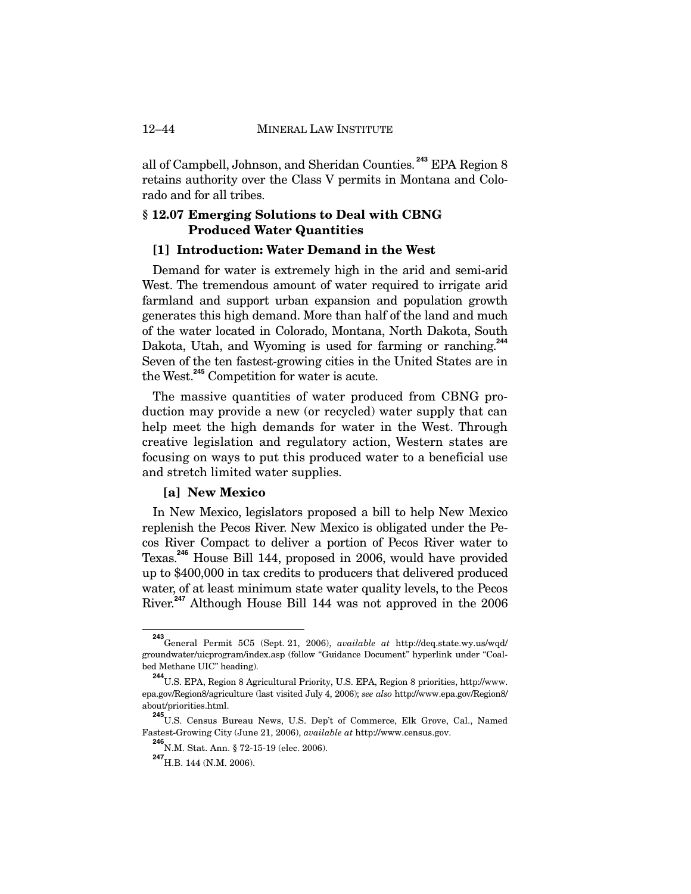all of Campbell, Johnson, and Sheridan Counties.**<sup>243</sup>** EPA Region 8 retains authority over the Class V permits in Montana and Colorado and for all tribes.

## **§ 12.07 Emerging Solutions to Deal with CBNG Produced Water Quantities**

### **[1] Introduction: Water Demand in the West**

Demand for water is extremely high in the arid and semi-arid West. The tremendous amount of water required to irrigate arid farmland and support urban expansion and population growth generates this high demand. More than half of the land and much of the water located in Colorado, Montana, North Dakota, South Dakota, Utah, and Wyoming is used for farming or ranching.**<sup>244</sup>** Seven of the ten fastest-growing cities in the United States are in the West.**<sup>245</sup>** Competition for water is acute.

The massive quantities of water produced from CBNG production may provide a new (or recycled) water supply that can help meet the high demands for water in the West. Through creative legislation and regulatory action, Western states are focusing on ways to put this produced water to a beneficial use and stretch limited water supplies.

## **[a] New Mexico**

In New Mexico, legislators proposed a bill to help New Mexico replenish the Pecos River. New Mexico is obligated under the Pecos River Compact to deliver a portion of Pecos River water to Texas.**<sup>246</sup>** House Bill 144, proposed in 2006, would have provided up to \$400,000 in tax credits to producers that delivered produced water, of at least minimum state water quality levels, to the Pecos River.**<sup>247</sup>** Although House Bill 144 was not approved in the 2006

**<sup>243</sup>** General Permit 5C5 (Sept. 21, 2006), *available at* http://deq.state.wy.us/wqd/ groundwater/uicprogram/index.asp (follow "Guidance Document" hyperlink under "Coalbed Methane UIC" heading).

**<sup>244</sup>** U.S. EPA, Region 8 Agricultural Priority, U.S. EPA, Region 8 priorities, http://www. epa.gov/Region8/agriculture (last visited July 4, 2006); *see also* http://www.epa.gov/Region8/ about/priorities.html.

**<sup>245</sup>** U.S. Census Bureau News, U.S. Dep't of Commerce, Elk Grove, Cal., Named Fastest-Growing City (June 21, 2006), *available at* http://www.census.gov.

**<sup>246</sup>** N.M. Stat. Ann. § 72-15-19 (elec. 2006).

**<sup>247</sup>**H.B. 144 (N.M. 2006).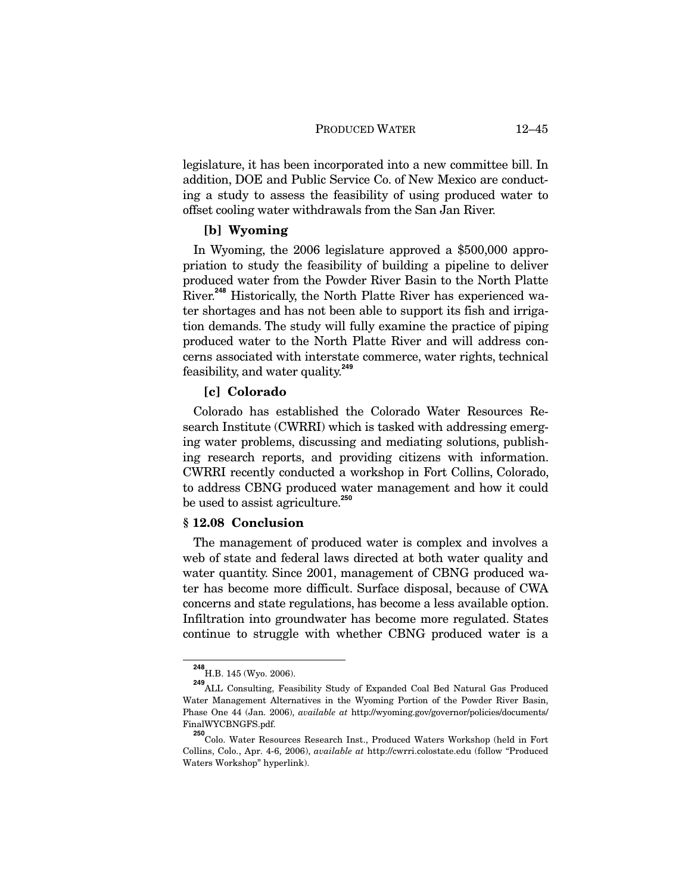legislature, it has been incorporated into a new committee bill. In addition, DOE and Public Service Co. of New Mexico are conducting a study to assess the feasibility of using produced water to offset cooling water withdrawals from the San Jan River.

## **[b] Wyoming**

In Wyoming, the 2006 legislature approved a \$500,000 appropriation to study the feasibility of building a pipeline to deliver produced water from the Powder River Basin to the North Platte River.**<sup>248</sup>** Historically, the North Platte River has experienced water shortages and has not been able to support its fish and irrigation demands. The study will fully examine the practice of piping produced water to the North Platte River and will address concerns associated with interstate commerce, water rights, technical feasibility, and water quality.**<sup>249</sup>**

## **[c] Colorado**

Colorado has established the Colorado Water Resources Research Institute (CWRRI) which is tasked with addressing emerging water problems, discussing and mediating solutions, publishing research reports, and providing citizens with information. CWRRI recently conducted a workshop in Fort Collins, Colorado, to address CBNG produced water management and how it could be used to assist agriculture.**<sup>250</sup>**

## **§ 12.08 Conclusion**

The management of produced water is complex and involves a web of state and federal laws directed at both water quality and water quantity. Since 2001, management of CBNG produced water has become more difficult. Surface disposal, because of CWA concerns and state regulations, has become a less available option. Infiltration into groundwater has become more regulated. States continue to struggle with whether CBNG produced water is a

**<sup>248</sup>** H.B. 145 (Wyo. 2006).

**<sup>249</sup>** ALL Consulting, Feasibility Study of Expanded Coal Bed Natural Gas Produced Water Management Alternatives in the Wyoming Portion of the Powder River Basin, Phase One 44 (Jan. 2006), *available at* http://wyoming.gov/governor/policies/documents/ FinalWYCBNGFS.pdf.

**<sup>250</sup>** Colo. Water Resources Research Inst., Produced Waters Workshop (held in Fort Collins, Colo., Apr. 4-6, 2006), *available at* http://cwrri.colostate.edu (follow "Produced Waters Workshop" hyperlink).